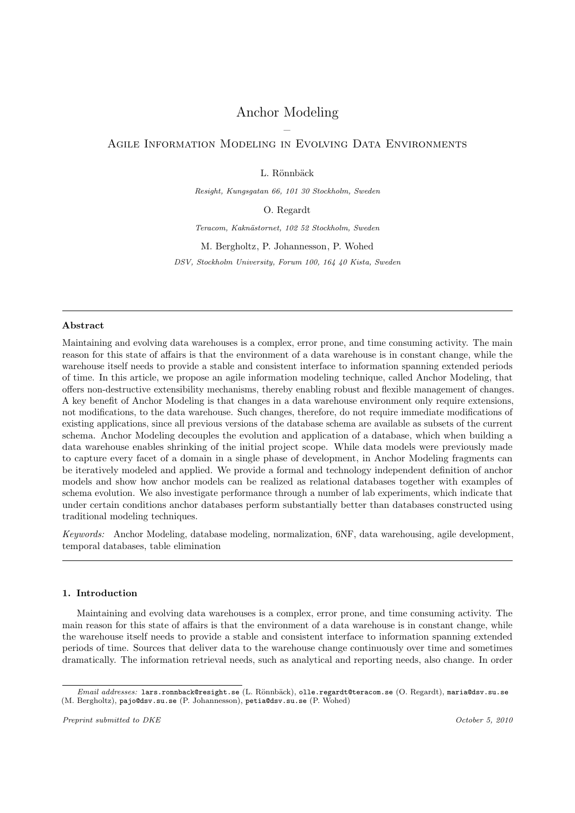# Anchor Modeling

# – Agile Information Modeling in Evolving Data Environments

L. Rönnbäck

Resight, Kungsgatan 66, 101 30 Stockholm, Sweden

# O. Regardt

Teracom, Kakn¨astornet, 102 52 Stockholm, Sweden

M. Bergholtz, P. Johannesson, P. Wohed

DSV, Stockholm University, Forum 100, 164 40 Kista, Sweden

# Abstract

Maintaining and evolving data warehouses is a complex, error prone, and time consuming activity. The main reason for this state of affairs is that the environment of a data warehouse is in constant change, while the warehouse itself needs to provide a stable and consistent interface to information spanning extended periods of time. In this article, we propose an agile information modeling technique, called Anchor Modeling, that offers non-destructive extensibility mechanisms, thereby enabling robust and flexible management of changes. A key benefit of Anchor Modeling is that changes in a data warehouse environment only require extensions, not modifications, to the data warehouse. Such changes, therefore, do not require immediate modifications of existing applications, since all previous versions of the database schema are available as subsets of the current schema. Anchor Modeling decouples the evolution and application of a database, which when building a data warehouse enables shrinking of the initial project scope. While data models were previously made to capture every facet of a domain in a single phase of development, in Anchor Modeling fragments can be iteratively modeled and applied. We provide a formal and technology independent definition of anchor models and show how anchor models can be realized as relational databases together with examples of schema evolution. We also investigate performance through a number of lab experiments, which indicate that under certain conditions anchor databases perform substantially better than databases constructed using traditional modeling techniques.

Keywords: Anchor Modeling, database modeling, normalization, 6NF, data warehousing, agile development, temporal databases, table elimination

# 1. Introduction

Maintaining and evolving data warehouses is a complex, error prone, and time consuming activity. The main reason for this state of affairs is that the environment of a data warehouse is in constant change, while the warehouse itself needs to provide a stable and consistent interface to information spanning extended periods of time. Sources that deliver data to the warehouse change continuously over time and sometimes dramatically. The information retrieval needs, such as analytical and reporting needs, also change. In order

Email addresses: lars.ronnback@resight.se (L. Rönnbäck), olle.regardt@teracom.se (O. Regardt), maria@dsv.su.se (M. Bergholtz), pajo@dsv.su.se (P. Johannesson), petia@dsv.su.se (P. Wohed)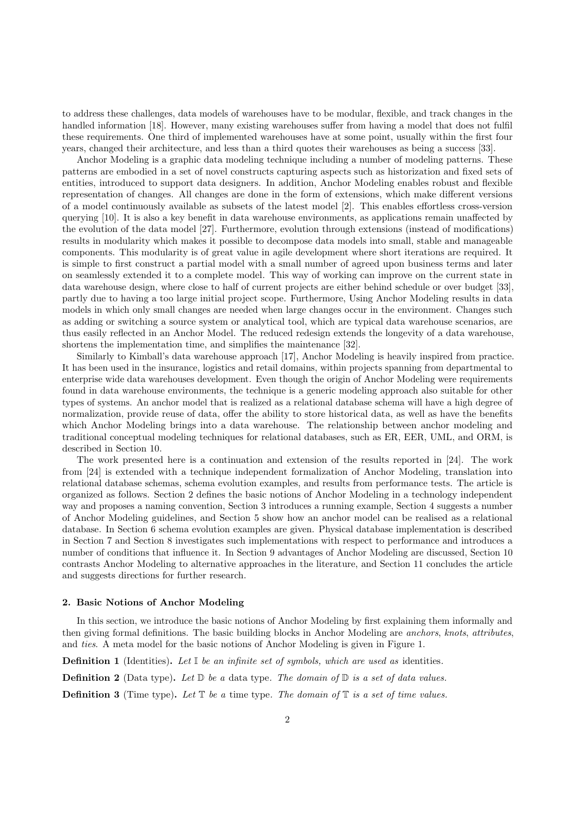to address these challenges, data models of warehouses have to be modular, flexible, and track changes in the handled information [18]. However, many existing warehouses suffer from having a model that does not fulfil these requirements. One third of implemented warehouses have at some point, usually within the first four years, changed their architecture, and less than a third quotes their warehouses as being a success [33].

Anchor Modeling is a graphic data modeling technique including a number of modeling patterns. These patterns are embodied in a set of novel constructs capturing aspects such as historization and fixed sets of entities, introduced to support data designers. In addition, Anchor Modeling enables robust and flexible representation of changes. All changes are done in the form of extensions, which make different versions of a model continuously available as subsets of the latest model [2]. This enables effortless cross-version querying [10]. It is also a key benefit in data warehouse environments, as applications remain unaffected by the evolution of the data model [27]. Furthermore, evolution through extensions (instead of modifications) results in modularity which makes it possible to decompose data models into small, stable and manageable components. This modularity is of great value in agile development where short iterations are required. It is simple to first construct a partial model with a small number of agreed upon business terms and later on seamlessly extended it to a complete model. This way of working can improve on the current state in data warehouse design, where close to half of current projects are either behind schedule or over budget [33], partly due to having a too large initial project scope. Furthermore, Using Anchor Modeling results in data models in which only small changes are needed when large changes occur in the environment. Changes such as adding or switching a source system or analytical tool, which are typical data warehouse scenarios, are thus easily reflected in an Anchor Model. The reduced redesign extends the longevity of a data warehouse, shortens the implementation time, and simplifies the maintenance [32].

Similarly to Kimball's data warehouse approach [17], Anchor Modeling is heavily inspired from practice. It has been used in the insurance, logistics and retail domains, within projects spanning from departmental to enterprise wide data warehouses development. Even though the origin of Anchor Modeling were requirements found in data warehouse environments, the technique is a generic modeling approach also suitable for other types of systems. An anchor model that is realized as a relational database schema will have a high degree of normalization, provide reuse of data, offer the ability to store historical data, as well as have the benefits which Anchor Modeling brings into a data warehouse. The relationship between anchor modeling and traditional conceptual modeling techniques for relational databases, such as ER, EER, UML, and ORM, is described in Section 10.

The work presented here is a continuation and extension of the results reported in [24]. The work from [24] is extended with a technique independent formalization of Anchor Modeling, translation into relational database schemas, schema evolution examples, and results from performance tests. The article is organized as follows. Section 2 defines the basic notions of Anchor Modeling in a technology independent way and proposes a naming convention, Section 3 introduces a running example, Section 4 suggests a number of Anchor Modeling guidelines, and Section 5 show how an anchor model can be realised as a relational database. In Section 6 schema evolution examples are given. Physical database implementation is described in Section 7 and Section 8 investigates such implementations with respect to performance and introduces a number of conditions that influence it. In Section 9 advantages of Anchor Modeling are discussed, Section 10 contrasts Anchor Modeling to alternative approaches in the literature, and Section 11 concludes the article and suggests directions for further research.

# 2. Basic Notions of Anchor Modeling

In this section, we introduce the basic notions of Anchor Modeling by first explaining them informally and then giving formal definitions. The basic building blocks in Anchor Modeling are anchors, knots, attributes, and ties. A meta model for the basic notions of Anchor Modeling is given in Figure 1.

**Definition 1** (Identities). Let  $\mathbb{I}$  be an infinite set of symbols, which are used as identities.

**Definition 2** (Data type). Let  $\mathbb{D}$  be a data type. The domain of  $\mathbb{D}$  is a set of data values.

**Definition 3** (Time type). Let  $\mathbb{T}$  be a time type. The domain of  $\mathbb{T}$  is a set of time values.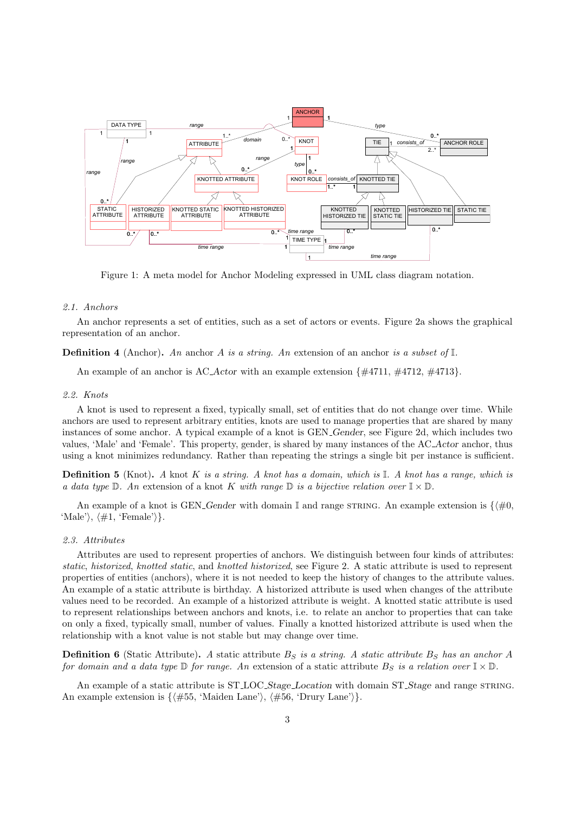

Figure 1: A meta model for Anchor Modeling expressed in UML class diagram notation.

# 2.1. Anchors

An anchor represents a set of entities, such as a set of actors or events. Figure 2a shows the graphical representation of an anchor.

**Definition 4** (Anchor). An anchor A is a string. An extension of an anchor is a subset of  $\mathbb{I}$ .

An example of an anchor is AC<sub>-</sub>Actor with an example extension  $\{\#4711, \#4712, \#4713\}$ .

# 2.2. Knots

A knot is used to represent a fixed, typically small, set of entities that do not change over time. While anchors are used to represent arbitrary entities, knots are used to manage properties that are shared by many instances of some anchor. A typical example of a knot is GEN Gender, see Figure 2d, which includes two values, 'Male' and 'Female'. This property, gender, is shared by many instances of the AC Actor anchor, thus using a knot minimizes redundancy. Rather than repeating the strings a single bit per instance is sufficient.

**Definition 5** (Knot). A knot K is a string. A knot has a domain, which is  $\mathbb{I}$ . A knot has a range, which is a data type  $\mathbb D$ . An extension of a knot K with range  $\mathbb D$  is a bijective relation over  $\mathbb I \times \mathbb D$ .

An example of a knot is GEN Gender with domain I and range strains. An example extension is  $\{\langle \#0, \pi \rangle\}$ 'Male' $\rangle$ ,  $\langle \#1, \, 'Female' \rangle$ .

### 2.3. Attributes

Attributes are used to represent properties of anchors. We distinguish between four kinds of attributes: static, historized, knotted static, and knotted historized, see Figure 2. A static attribute is used to represent properties of entities (anchors), where it is not needed to keep the history of changes to the attribute values. An example of a static attribute is birthday. A historized attribute is used when changes of the attribute values need to be recorded. An example of a historized attribute is weight. A knotted static attribute is used to represent relationships between anchors and knots, i.e. to relate an anchor to properties that can take on only a fixed, typically small, number of values. Finally a knotted historized attribute is used when the relationship with a knot value is not stable but may change over time.

**Definition 6** (Static Attribute). A static attribute  $B<sub>S</sub>$  is a string. A static attribute  $B<sub>S</sub>$  has an anchor A for domain and a data type  $\mathbb D$  for range. An extension of a static attribute  $B_S$  is a relation over  $\mathbb I \times \mathbb D$ .

An example of a static attribute is ST\_LOC\_Stage\_Location with domain ST\_Stage and range STRING. An example extension is  $\{\langle #55, 'Maiden Lane'\rangle, \langle #56, 'Drury Lane'\rangle\}.$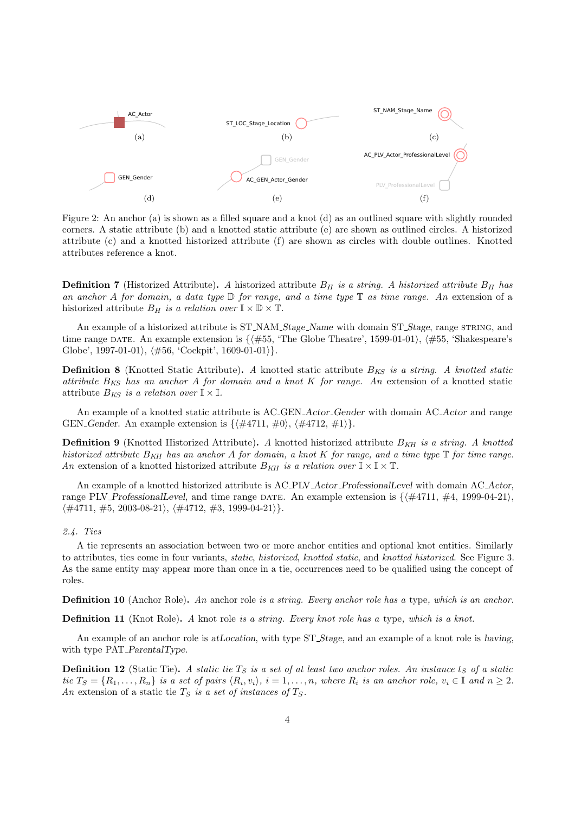

Figure 2: An anchor (a) is shown as a filled square and a knot (d) as an outlined square with slightly rounded corners. A static attribute (b) and a knotted static attribute (e) are shown as outlined circles. A historized attribute (c) and a knotted historized attribute (f) are shown as circles with double outlines. Knotted attributes reference a knot.

**Definition 7** (Historized Attribute). A historized attribute  $B_H$  is a string. A historized attribute  $B_H$  has an anchor A for domain, a data type  $\mathbb D$  for range, and a time type  $\mathbb T$  as time range. An extension of a historized attribute  $B_H$  is a relation over  $\mathbb{I} \times \mathbb{D} \times \mathbb{T}$ .

An example of a historized attribute is ST\_NAM\_Stage\_Name with domain ST\_Stage, range STRING, and time range DATE. An example extension is  $\{\langle #55, "The Globe Theatre', 1599-01-01\}, \langle #55, "Shakespeace's']\}$ Globe', 1997-01-01\,  $\langle #56, 'Cockpit', 1609-01-01\rangle$ .

**Definition 8** (Knotted Static Attribute). A knotted static attribute  $B_{KS}$  is a string. A knotted static attribute  $B_{KS}$  has an anchor A for domain and a knot K for range. An extension of a knotted static attribute  $B_{KS}$  is a relation over  $\mathbb{I} \times \mathbb{I}$ .

An example of a knotted static attribute is AC GEN Actor Gender with domain AC Actor and range GEN Gender. An example extension is  $\{\langle \#4711, \#0 \rangle, \langle \#4712, \#1 \rangle\}.$ 

**Definition 9** (Knotted Historized Attribute). A knotted historized attribute  $B_{KH}$  is a string. A knotted historized attribute  $B_{KH}$  has an anchor A for domain, a knot K for range, and a time type  $\mathbb T$  for time range. An extension of a knotted historized attribute  $B_{KH}$  is a relation over  $\mathbb{I} \times \mathbb{I} \times \mathbb{T}$ .

An example of a knotted historized attribute is AC PLV Actor ProfessionalLevel with domain AC Actor, range PLV ProfessionalLevel, and time range DATE. An example extension is  $\{\#4711, \#4, 1999-04-21\}$  $\langle \#4711, \#5, 2003-08-21 \rangle, \langle \#4712, \#3, 1999-04-21 \rangle.$ 

#### 2.4. Ties

A tie represents an association between two or more anchor entities and optional knot entities. Similarly to attributes, ties come in four variants, static, historized, knotted static, and knotted historized. See Figure 3. As the same entity may appear more than once in a tie, occurrences need to be qualified using the concept of roles.

**Definition 10** (Anchor Role). An anchor role is a string. Every anchor role has a type, which is an anchor.

Definition 11 (Knot Role). A knot role is a string. Every knot role has a type, which is a knot.

An example of an anchor role is at Location, with type ST\_Stage, and an example of a knot role is having, with type PAT\_ParentalType.

**Definition 12** (Static Tie). A static tie  $T<sub>S</sub>$  is a set of at least two anchor roles. An instance  $t<sub>S</sub>$  of a static  $tie T_S = \{R_1, \ldots, R_n\}$  is a set of pairs  $\langle R_i, v_i \rangle$ ,  $i = 1, \ldots, n$ , where  $R_i$  is an anchor role,  $v_i \in \mathbb{I}$  and  $n \geq 2$ . An extension of a static tie  $T<sub>S</sub>$  is a set of instances of  $T<sub>S</sub>$ .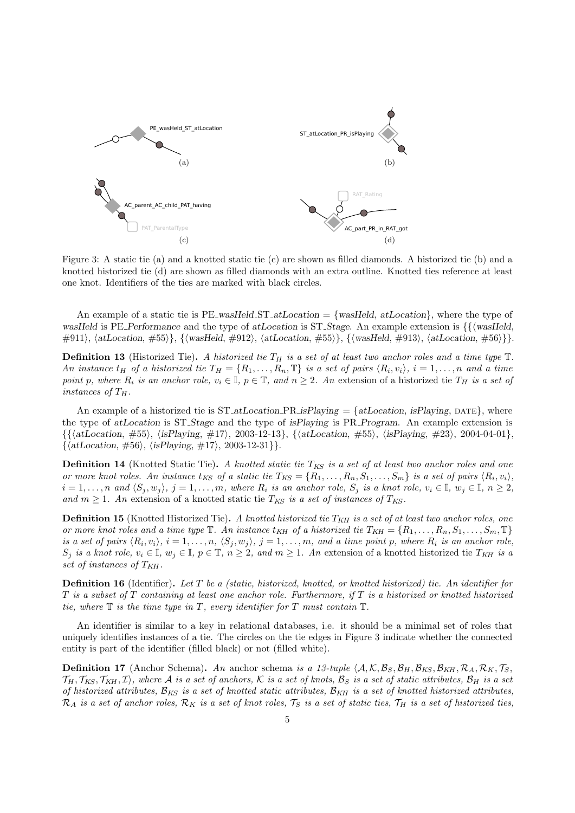

Figure 3: A static tie (a) and a knotted static tie (c) are shown as filled diamonds. A historized tie (b) and a knotted historized tie (d) are shown as filled diamonds with an extra outline. Knotted ties reference at least one knot. Identifiers of the ties are marked with black circles.

An example of a static tie is PE wasHeld ST at Location = {wasHeld, at Location}, where the type of wasHeld is PE Performance and the type of atLocation is ST Stage. An example extension is  $\{\{\text{wasHeld},\}$  $\#911\rangle$ ,  $\{atLocation, \#55\rangle\}$ ,  $\{\{wasHeld, \#912\}, \{atLocation, \#55\rangle\}$ ,  $\{\langle wasHeld, \#913\rangle, \langle atLocation, \#56\rangle\}\}$ 

**Definition 13** (Historized Tie). A historized tie  $T_H$  is a set of at least two anchor roles and a time type  $T$ . An instance  $t_H$  of a historized tie  $T_H = \{R_1, \ldots, R_n, \mathbb{T}\}\$ is a set of pairs  $\langle R_i, v_i \rangle$ ,  $i = 1, \ldots, n$  and a time point p, where  $R_i$  is an anchor role,  $v_i \in \mathbb{I}$ ,  $p \in \mathbb{T}$ , and  $n \geq 2$ . An extension of a historized tie  $T_H$  is a set of instances of  $T_H$ .

An example of a historized tie is  $ST<sub>-</sub>atLocation<sub>-</sub>PR<sub>-</sub>isPlaying = {atLocation, isPlaying, DATE}, where$ the type of atLocation is ST\_Stage and the type of isPlaying is PR\_Program. An example extension is  $\{\{\text{atLocation, #55}\}, \{\text{isPlaying, #17}\}, \ 2003-12-13\}, \ \{\text{atLocation, #55}\}, \ \{\text{isPlaying, #23}\}, \ 2004-04-01\},$  $\{\langle atLocation, #56\rangle, \langle isPlaying, #17\rangle, 2003-12-31\}.$ 

**Definition 14** (Knotted Static Tie). A knotted static tie  $T_{KS}$  is a set of at least two anchor roles and one or more knot roles. An instance  $t_{KS}$  of a static tie  $T_{KS} = \{R_1, \ldots, R_n, S_1, \ldots, S_m\}$  is a set of pairs  $\langle R_i, v_i \rangle$ ,  $i = 1, \ldots, n$  and  $\langle S_j, w_j \rangle$ ,  $j = 1, \ldots, m$ , where  $R_i$  is an anchor role,  $S_j$  is a knot role,  $v_i \in \mathbb{I}$ ,  $w_j \in \mathbb{I}$ ,  $n \geq 2$ , and  $m \geq 1$ . An extension of a knotted static tie  $T_{KS}$  is a set of instances of  $T_{KS}$ .

**Definition 15** (Knotted Historized Tie). A knotted historized tie  $T_{KH}$  is a set of at least two anchor roles, one or more knot roles and a time type  $\mathbb{T}$ . An instance  $t_{KH}$  of a historized tie  $T_{KH} = \{R_1, \ldots, R_n, S_1, \ldots, S_m, \mathbb{T}\}\$ is a set of pairs  $\langle R_i, v_i \rangle$ ,  $i = 1, \ldots, n, \langle S_j, w_j \rangle$ ,  $j = 1, \ldots, m$ , and a time point p, where  $R_i$  is an anchor role,  $S_j$  is a knot role,  $v_i \in \mathbb{I}$ ,  $w_j \in \mathbb{I}$ ,  $p \in \mathbb{T}$ ,  $n \geq 2$ , and  $m \geq 1$ . An extension of a knotted historized tie  $T_{KH}$  is a set of instances of  $T_{KH}$ .

Definition 16 (Identifier). Let T be a (static, historized, knotted, or knotted historized) tie. An identifier for T is a subset of T containing at least one anchor role. Furthermore, if T is a historized or knotted historized tie, where  $\mathbb T$  is the time type in T, every identifier for T must contain  $\mathbb T$ .

An identifier is similar to a key in relational databases, i.e. it should be a minimal set of roles that uniquely identifies instances of a tie. The circles on the tie edges in Figure 3 indicate whether the connected entity is part of the identifier (filled black) or not (filled white).

**Definition 17** (Anchor Schema). An anchor schema is a 13-tuple  $\langle A, K, B_S, B_H, B_{KS}, B_{KH}, R_A, R_K, T_S,$  $\mathcal{T}_H, \mathcal{T}_{KS}, \mathcal{T}_{KH}, \mathcal{I}$ , where A is a set of anchors, K is a set of knots,  $\mathcal{B}_S$  is a set of static attributes,  $\mathcal{B}_H$  is a set of historized attributes,  $\mathcal{B}_{KS}$  is a set of knotted static attributes,  $\mathcal{B}_{KH}$  is a set of knotted historized attributes,  $\mathcal{R}_A$  is a set of anchor roles,  $\mathcal{R}_K$  is a set of knot roles,  $\mathcal{T}_S$  is a set of static ties,  $\mathcal{T}_H$  is a set of historized ties,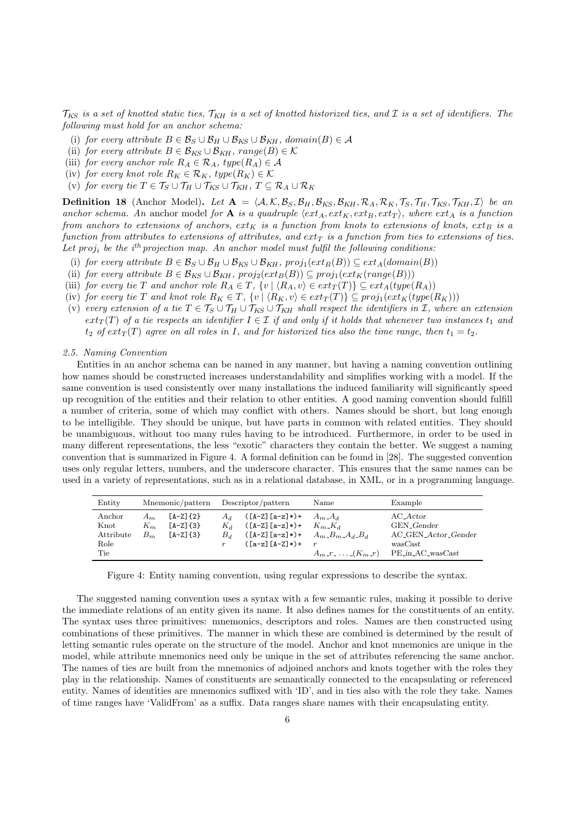$\mathcal{T}_{KS}$  is a set of knotted static ties,  $\mathcal{T}_{KH}$  is a set of knotted historized ties, and  $\mathcal I$  is a set of identifiers. The following must hold for an anchor schema:

- (i) for every attribute  $B \in \mathcal{B}_S \cup \mathcal{B}_H \cup \mathcal{B}_{KS} \cup \mathcal{B}_{KH}$ , domain $(B) \in \mathcal{A}$
- (ii) for every attribute  $B \in \mathcal{B}_{KS} \cup \mathcal{B}_{KH}$ , range $(B) \in \mathcal{K}$
- (iii) for every anchor role  $R_A \in \mathcal{R}_A$ , type $(R_A) \in \mathcal{A}$
- (iv) for every knot role  $R_K \in \mathcal{R}_K$ , type $(R_K) \in \mathcal{K}$
- (v) for every tie  $T \in \mathcal{T}_S \cup \mathcal{T}_H \cup \mathcal{T}_{KS} \cup \mathcal{T}_{KH}, T \subseteq \mathcal{R}_A \cup \mathcal{R}_K$

**Definition 18** (Anchor Model). Let  $A = \langle A, K, B_S, B_H, B_{KS}, B_{KH}, R_A, R_K, T_S, T_H, T_{KS}, T_{KH}, \mathcal{I} \rangle$  be an anchor schema. An anchor model for **A** is a quadruple  $\langle ext_A, ext_K, ext_B, ext_T \rangle$ , where  $ext_A$  is a function from anchors to extensions of anchors,  $ext_K$  is a function from knots to extensions of knots,  $ext_B$  is a function from attributes to extensions of attributes, and  $ext_T$  is a function from ties to extensions of ties. Let proj<sub>i</sub> be the i<sup>th</sup> projection map. An anchor model must fulfil the following conditions:

- (i) for every attribute  $B \in \mathcal{B}_S \cup \mathcal{B}_H \cup \mathcal{B}_{KS} \cup \mathcal{B}_{KH}$ ,  $proj_1(ext_B(B)) \subseteq ext_A(domain(B))$
- (ii) for every attribute  $B \in \mathcal{B}_{KS} \cup \mathcal{B}_{KH}$ ,  $proj_2(ext_B(B)) \subseteq proj_1(ext_K(range(B)))$
- (iii) for every tie T and anchor role  $R_A \in T$ ,  $\{v \mid \langle R_A, v \rangle \in ext_T(T)\} \subseteq ext_A(type(R_A))$
- (iv) for every tie T and knot role  $R_K \in T$ ,  $\{v \mid \langle R_K, v \rangle \in ext_T(T)\} \subseteq proj_1(ext_K(type(R_K)))$
- (v) every extension of a tie  $T \in \mathcal{T}_S \cup \mathcal{T}_H \cup \mathcal{T}_{KS} \cup \mathcal{T}_{KH}$  shall respect the identifiers in  $\mathcal{T}$ , where an extension  $ext_T(T)$  of a tie respects an identifier  $I \in \mathcal{I}$  if and only if it holds that whenever two instances  $t_1$  and  $t_2$  of  $ext_T(T)$  agree on all roles in I, and for historized ties also the time range, then  $t_1 = t_2$ .

# 2.5. Naming Convention

Entities in an anchor schema can be named in any manner, but having a naming convention outlining how names should be constructed increases understandability and simplifies working with a model. If the same convention is used consistently over many installations the induced familiarity will significantly speed up recognition of the entities and their relation to other entities. A good naming convention should fulfill a number of criteria, some of which may conflict with others. Names should be short, but long enough to be intelligible. They should be unique, but have parts in common with related entities. They should be unambiguous, without too many rules having to be introduced. Furthermore, in order to be used in many different representations, the less "exotic" characters they contain the better. We suggest a naming convention that is summarized in Figure 4. A formal definition can be found in [28]. The suggested convention uses only regular letters, numbers, and the underscore character. This ensures that the same names can be used in a variety of representations, such as in a relational database, in XML, or in a programming language.

| Entity                                     | Mnemonic/pattern Descriptor/pattern |                                                       |                        |                                                                                                      | Name                                                                               | Example                                                                                            |  |
|--------------------------------------------|-------------------------------------|-------------------------------------------------------|------------------------|------------------------------------------------------------------------------------------------------|------------------------------------------------------------------------------------|----------------------------------------------------------------------------------------------------|--|
| Anchor<br>Knot<br>Attribute<br>Role<br>Tie | $A_{m}$<br>$K_m$<br>$B_m$           | $[A-Z]$ $\{2\}$<br>$[A-Z]$ $\{3\}$<br>$[A-Z]$ $\{3\}$ | Bл<br>$\boldsymbol{r}$ | $A_d$ ([A-Z][a-z]*)+<br>$K_d$ ([A-Z][a-z]*)+<br>$( [A-Z] [a-z]*)+ A_m B_m A_d B_d$<br>([a-z][A-Z]*)+ | $A_{m} A_{d}$<br>$K_m$ <sub>-</sub> $K_d$<br>$\mathbf{r}$<br>$A_{m-r}$ $(K_{m-r})$ | AC_ <i>Actor</i><br>GEN <sub>-Gender</sub><br>AC_GEN_Actor_Gender<br>wasCast<br>$PE_in_AC_wasCast$ |  |

Figure 4: Entity naming convention, using regular expressions to describe the syntax.

The suggested naming convention uses a syntax with a few semantic rules, making it possible to derive the immediate relations of an entity given its name. It also defines names for the constituents of an entity. The syntax uses three primitives: mnemonics, descriptors and roles. Names are then constructed using combinations of these primitives. The manner in which these are combined is determined by the result of letting semantic rules operate on the structure of the model. Anchor and knot mnemonics are unique in the model, while attribute mnemonics need only be unique in the set of attributes referencing the same anchor. The names of ties are built from the mnemonics of adjoined anchors and knots together with the roles they play in the relationship. Names of constituents are semantically connected to the encapsulating or referenced entity. Names of identities are mnemonics suffixed with 'ID', and in ties also with the role they take. Names of time ranges have 'ValidFrom' as a suffix. Data ranges share names with their encapsulating entity.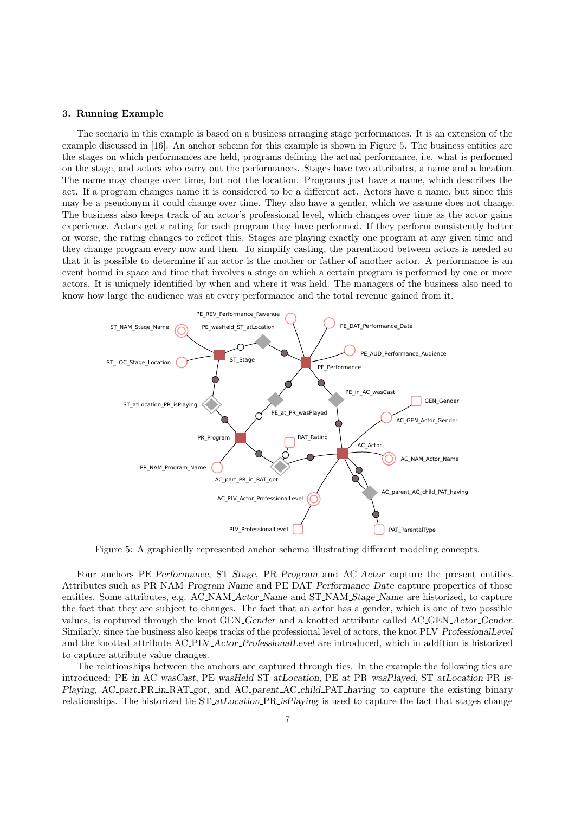# 3. Running Example

The scenario in this example is based on a business arranging stage performances. It is an extension of the example discussed in [16]. An anchor schema for this example is shown in Figure 5. The business entities are the stages on which performances are held, programs defining the actual performance, i.e. what is performed on the stage, and actors who carry out the performances. Stages have two attributes, a name and a location. The name may change over time, but not the location. Programs just have a name, which describes the act. If a program changes name it is considered to be a different act. Actors have a name, but since this may be a pseudonym it could change over time. They also have a gender, which we assume does not change. The business also keeps track of an actor's professional level, which changes over time as the actor gains experience. Actors get a rating for each program they have performed. If they perform consistently better or worse, the rating changes to reflect this. Stages are playing exactly one program at any given time and they change program every now and then. To simplify casting, the parenthood between actors is needed so that it is possible to determine if an actor is the mother or father of another actor. A performance is an event bound in space and time that involves a stage on which a certain program is performed by one or more actors. It is uniquely identified by when and where it was held. The managers of the business also need to know how large the audience was at every performance and the total revenue gained from it.



Figure 5: A graphically represented anchor schema illustrating different modeling concepts.

Four anchors PE Performance, ST Stage, PR Program and AC Actor capture the present entities. Attributes such as PR\_NAM\_Program\_Name and PE\_DAT\_Performance\_Date capture properties of those entities. Some attributes, e.g. AC\_NAM\_Actor\_Name and ST\_NAM\_Stage\_Name are historized, to capture the fact that they are subject to changes. The fact that an actor has a gender, which is one of two possible values, is captured through the knot GEN Gender and a knotted attribute called AC GEN Actor Gender. Similarly, since the business also keeps tracks of the professional level of actors, the knot PLV ProfessionalLevel and the knotted attribute AC PLV Actor ProfessionalLevel are introduced, which in addition is historized to capture attribute value changes.

The relationships between the anchors are captured through ties. In the example the following ties are introduced: PE in AC wasCast, PE wasHeld ST atLocation, PE at PR wasPlayed, ST atLocation PR is-Playing, AC part PR in RAT got, and AC parent AC child PAT having to capture the existing binary relationships. The historized tie ST<sub>-atLocation</sub> PR<sub>-isPlaying</sub> is used to capture the fact that stages change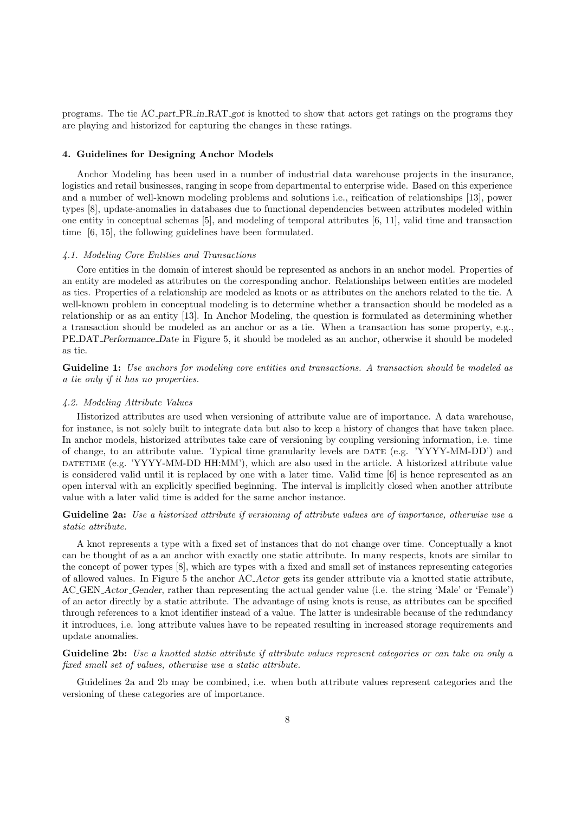programs. The tie AC part PR in RAT got is knotted to show that actors get ratings on the programs they are playing and historized for capturing the changes in these ratings.

# 4. Guidelines for Designing Anchor Models

Anchor Modeling has been used in a number of industrial data warehouse projects in the insurance, logistics and retail businesses, ranging in scope from departmental to enterprise wide. Based on this experience and a number of well-known modeling problems and solutions i.e., reification of relationships [13], power types [8], update-anomalies in databases due to functional dependencies between attributes modeled within one entity in conceptual schemas [5], and modeling of temporal attributes [6, 11], valid time and transaction time [6, 15], the following guidelines have been formulated.

# 4.1. Modeling Core Entities and Transactions

Core entities in the domain of interest should be represented as anchors in an anchor model. Properties of an entity are modeled as attributes on the corresponding anchor. Relationships between entities are modeled as ties. Properties of a relationship are modeled as knots or as attributes on the anchors related to the tie. A well-known problem in conceptual modeling is to determine whether a transaction should be modeled as a relationship or as an entity [13]. In Anchor Modeling, the question is formulated as determining whether a transaction should be modeled as an anchor or as a tie. When a transaction has some property, e.g., PE DAT Performance Date in Figure 5, it should be modeled as an anchor, otherwise it should be modeled as tie.

Guideline 1: Use anchors for modeling core entities and transactions. A transaction should be modeled as a tie only if it has no properties.

#### 4.2. Modeling Attribute Values

Historized attributes are used when versioning of attribute value are of importance. A data warehouse, for instance, is not solely built to integrate data but also to keep a history of changes that have taken place. In anchor models, historized attributes take care of versioning by coupling versioning information, i.e. time of change, to an attribute value. Typical time granularity levels are date (e.g. 'YYYY-MM-DD') and DATETIME (e.g. 'YYYY-MM-DD  $HH:MM'$ ), which are also used in the article. A historized attribute value is considered valid until it is replaced by one with a later time. Valid time [6] is hence represented as an open interval with an explicitly specified beginning. The interval is implicitly closed when another attribute value with a later valid time is added for the same anchor instance.

# Guideline 2a: Use a historized attribute if versioning of attribute values are of importance, otherwise use a static attribute.

A knot represents a type with a fixed set of instances that do not change over time. Conceptually a knot can be thought of as a an anchor with exactly one static attribute. In many respects, knots are similar to the concept of power types [8], which are types with a fixed and small set of instances representing categories of allowed values. In Figure 5 the anchor AC Actor gets its gender attribute via a knotted static attribute, AC GEN Actor Gender, rather than representing the actual gender value (i.e. the string 'Male' or 'Female') of an actor directly by a static attribute. The advantage of using knots is reuse, as attributes can be specified through references to a knot identifier instead of a value. The latter is undesirable because of the redundancy it introduces, i.e. long attribute values have to be repeated resulting in increased storage requirements and update anomalies.

# Guideline 2b: Use a knotted static attribute if attribute values represent categories or can take on only a fixed small set of values, otherwise use a static attribute.

Guidelines 2a and 2b may be combined, i.e. when both attribute values represent categories and the versioning of these categories are of importance.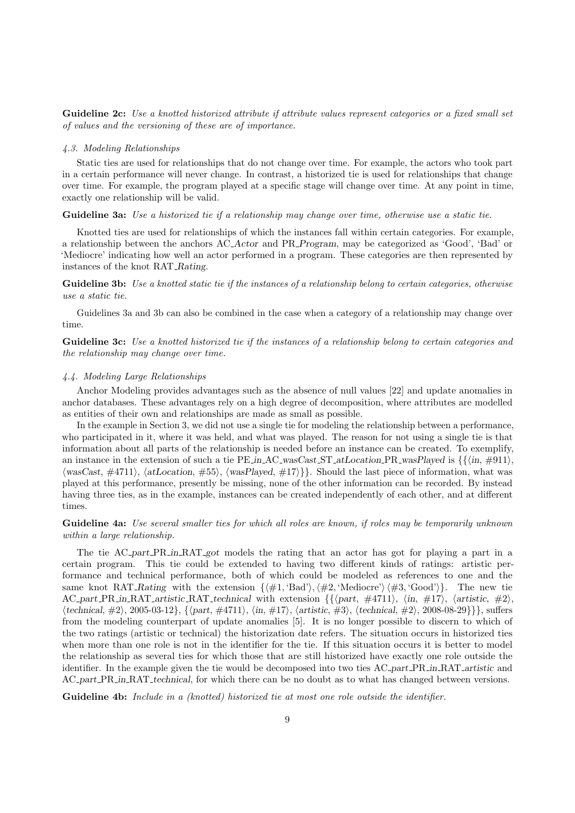Guideline 2c: Use a knotted historized attribute if attribute values represent categories or a fixed small set of values and the versioning of these are of importance.

#### 4.3. Modeling Relationships

Static ties are used for relationships that do not change over time. For example, the actors who took part in a certain performance will never change. In contrast, a historized tie is used for relationships that change over time. For example, the program played at a specific stage will change over time. At any point in time, exactly one relationship will be valid.

# Guideline 3a: Use a historized tie if a relationship may change over time, otherwise use a static tie.

Knotted ties are used for relationships of which the instances fall within certain categories. For example, a relationship between the anchors AC Actor and PR Program, may be categorized as 'Good', 'Bad' or 'Mediocre' indicating how well an actor performed in a program. These categories are then represented by instances of the knot RAT Rating.

Guideline 3b: Use a knotted static tie if the instances of a relationship belong to certain categories, otherwise use a static tie.

Guidelines 3a and 3b can also be combined in the case when a category of a relationship may change over time.

Guideline 3c: Use a knotted historized tie if the instances of a relationship belong to certain categories and the relationship may change over time.

# 4.4. Modeling Large Relationships

Anchor Modeling provides advantages such as the absence of null values [22] and update anomalies in anchor databases. These advantages rely on a high degree of decomposition, where attributes are modelled as entities of their own and relationships are made as small as possible.

In the example in Section 3, we did not use a single tie for modeling the relationship between a performance, who participated in it, where it was held, and what was played. The reason for not using a single tie is that information about all parts of the relationship is needed before an instance can be created. To exemplify, an instance in the extension of such a tie PE in AC wasCast ST at Location PR wasPlayed is  $\{\{\langle in, #911\rangle\}$ .  $\{\text{wasCast, #4711}\}, \{\text{atLocation, #55}\}, \{\text{wasPlayer, #17}\}\}.$  Should the last piece of information, what was played at this performance, presently be missing, none of the other information can be recorded. By instead having three ties, as in the example, instances can be created independently of each other, and at different times.

Guideline 4a: Use several smaller ties for which all roles are known, if roles may be temporarily unknown within a large relationship.

The tie AC part PR in RAT got models the rating that an actor has got for playing a part in a certain program. This tie could be extended to having two different kinds of ratings: artistic performance and technical performance, both of which could be modeled as references to one and the same knot RAT Rating with the extension  $\{\#1, 'Bad'\}, \#2, 'Mediocre'\ \langle \#3, 'Good'\ \rangle\}.$  The new tie AC part PR in RAT artistic RAT technical with extension  $\{\{\partan\{4, 4711\}, \{in, #17\}, \{artistic, #2\},\}$  $\{de<sup>t</sup>\,; 42), 2005-03-12\}, \{$ { $part, #4711), \langle in, #17 \rangle, \langle artistic, #3 \rangle, \langle technical, #2 \rangle, 2008-08-29\}$ }, suffers from the modeling counterpart of update anomalies [5]. It is no longer possible to discern to which of the two ratings (artistic or technical) the historization date refers. The situation occurs in historized ties when more than one role is not in the identifier for the tie. If this situation occurs it is better to model the relationship as several ties for which those that are still historized have exactly one role outside the identifier. In the example given the tie would be decomposed into two ties AC part PR in RAT artistic and AC *part* PR in RAT *technical*, for which there can be no doubt as to what has changed between versions.

Guideline 4b: Include in a (knotted) historized tie at most one role outside the identifier.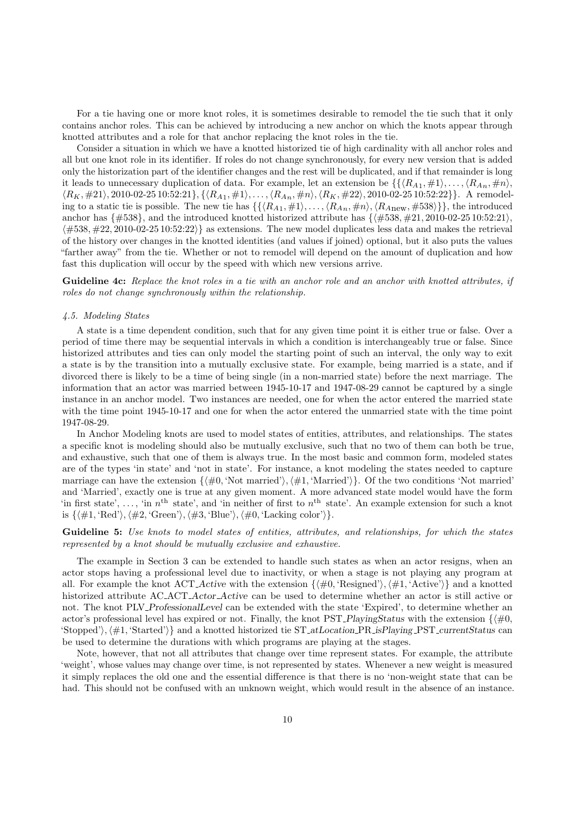For a tie having one or more knot roles, it is sometimes desirable to remodel the tie such that it only contains anchor roles. This can be achieved by introducing a new anchor on which the knots appear through knotted attributes and a role for that anchor replacing the knot roles in the tie.

Consider a situation in which we have a knotted historized tie of high cardinality with all anchor roles and all but one knot role in its identifier. If roles do not change synchronously, for every new version that is added only the historization part of the identifier changes and the rest will be duplicated, and if that remainder is long it leads to unnecessary duplication of data. For example, let an extension be  $\{\langle\langle R_{A1}, \#1\rangle, \ldots, \langle R_{An}, \#n\rangle, \ldots, \#n\rangle\}$  $\langle R_K, \#21 \rangle$ , 2010-02-25 10:52:21},  $\{ \langle R_{A1}, \#1 \rangle, \ldots, \langle R_{An}, \#n \rangle, \langle R_K, \#22 \rangle, 2010$ -02-25 10:52:22}}. A remodeling to a static tie is possible. The new tie has  $\{\{\langle R_{A1}, \#1 \rangle, \ldots, \langle R_{An}, \#n \rangle, \langle R_{A\text{new}}, \#538 \rangle\}\}\,$ , the introduced anchor has  $\{\#538\}$ , and the introduced knotted historized attribute has  $\{\#538, \#21, 2010-02-25 10:52:21\}$ .  $\langle #538, #22, 2010-02-25 10:52:22 \rangle$  as extensions. The new model duplicates less data and makes the retrieval of the history over changes in the knotted identities (and values if joined) optional, but it also puts the values "farther away" from the tie. Whether or not to remodel will depend on the amount of duplication and how fast this duplication will occur by the speed with which new versions arrive.

Guideline 4c: Replace the knot roles in a tie with an anchor role and an anchor with knotted attributes, if roles do not change synchronously within the relationship.

#### 4.5. Modeling States

A state is a time dependent condition, such that for any given time point it is either true or false. Over a period of time there may be sequential intervals in which a condition is interchangeably true or false. Since historized attributes and ties can only model the starting point of such an interval, the only way to exit a state is by the transition into a mutually exclusive state. For example, being married is a state, and if divorced there is likely to be a time of being single (in a non-married state) before the next marriage. The information that an actor was married between 1945-10-17 and 1947-08-29 cannot be captured by a single instance in an anchor model. Two instances are needed, one for when the actor entered the married state with the time point 1945-10-17 and one for when the actor entered the unmarried state with the time point 1947-08-29.

In Anchor Modeling knots are used to model states of entities, attributes, and relationships. The states a specific knot is modeling should also be mutually exclusive, such that no two of them can both be true, and exhaustive, such that one of them is always true. In the most basic and common form, modeled states are of the types 'in state' and 'not in state'. For instance, a knot modeling the states needed to capture marriage can have the extension  $\{(\#0, 'Not married'), (\#1, 'Married')\}.$  Of the two conditions 'Not married' and 'Married', exactly one is true at any given moment. A more advanced state model would have the form 'in first state', ..., 'in  $n<sup>th</sup>$  state', and 'in neither of first to  $n<sup>th</sup>$  state'. An example extension for such a knot is  $\{\langle \#1, 'Red'\rangle, \langle \#2, 'Green'\rangle, \langle \#3, 'Blue'\rangle, \langle \#0, 'Lacking color'\rangle\}.$ 

# Guideline 5: Use knots to model states of entities, attributes, and relationships, for which the states represented by a knot should be mutually exclusive and exhaustive.

The example in Section 3 can be extended to handle such states as when an actor resigns, when an actor stops having a professional level due to inactivity, or when a stage is not playing any program at all. For example the knot ACT Active with the extension  $\{\text{\#0}, \text{Resigned}\}\$ ,  $\{\text{\#1}, \text{'Active'}\}\$  and a knotted historized attribute AC\_ACT\_Actor\_Active can be used to determine whether an actor is still active or not. The knot PLV ProfessionalLevel can be extended with the state 'Expired', to determine whether an actor's professional level has expired or not. Finally, the knot PST PlayingStatus with the extension  $\{\langle \#0, \pi \rangle\}$  $\text{``Stoped'}\,$ ,  $\#1$ ,  $\text{'Started'}\}$  and a knotted historized tie ST\_atLocation PR\_isPlaying PST\_currentStatus can be used to determine the durations with which programs are playing at the stages.

Note, however, that not all attributes that change over time represent states. For example, the attribute 'weight', whose values may change over time, is not represented by states. Whenever a new weight is measured it simply replaces the old one and the essential difference is that there is no 'non-weight state that can be had. This should not be confused with an unknown weight, which would result in the absence of an instance.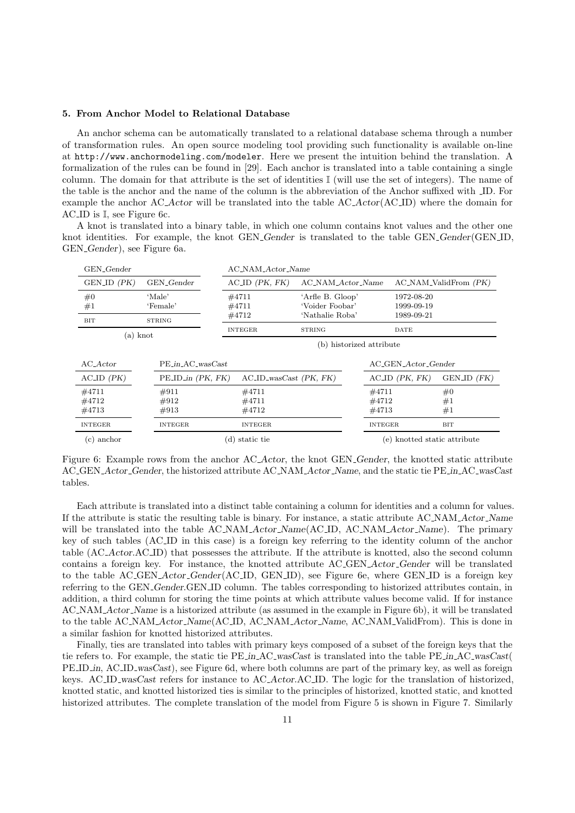# 5. From Anchor Model to Relational Database

An anchor schema can be automatically translated to a relational database schema through a number of transformation rules. An open source modeling tool providing such functionality is available on-line at http://www.anchormodeling.com/modeler. Here we present the intuition behind the translation. A formalization of the rules can be found in [29]. Each anchor is translated into a table containing a single column. The domain for that attribute is the set of identities  $\mathbb{I}$  (will use the set of integers). The name of the table is the anchor and the name of the column is the abbreviation of the Anchor suffixed with ID. For example the anchor AC Actor will be translated into the table AC Actor(AC ID) where the domain for AC ID is I, see Figure 6c.

A knot is translated into a binary table, in which one column contains knot values and the other one knot identities. For example, the knot GEN\_Gender is translated to the table GEN\_Gender(GEN\_ID, GEN Gender), see Figure 6a.

| GEN <sub>-Gender</sub>  |                        | AC_NAM_Actor_Name                                                                 |                   |                                        |                |  |  |  |  |
|-------------------------|------------------------|-----------------------------------------------------------------------------------|-------------------|----------------------------------------|----------------|--|--|--|--|
| GEN_ID (PK)             | GEN <sub>-Gender</sub> | $ACID$ ( $PK$ , $FK$ )                                                            | AC_NAM_Actor_Name | $AC_NAM_ValidFrom (PK)$                |                |  |  |  |  |
| #0<br>#1                | 'Male'<br>'Female'     | #4711<br>'Arfle B. Gloop'<br>'Voider Foobar'<br>#4711<br>'Nathalie Roba'<br>#4712 |                   | 1972-08-20<br>1999-09-19<br>1989-09-21 |                |  |  |  |  |
| BIT                     | <b>STRING</b>          |                                                                                   |                   |                                        |                |  |  |  |  |
| (a) knot                |                        | <b>INTEGER</b>                                                                    | <b>STRING</b>     | DATE                                   |                |  |  |  |  |
|                         |                        | (b) historized attribute                                                          |                   |                                        |                |  |  |  |  |
| AC_Actor                | $PE_in_AC_wasCast$     |                                                                                   |                   | AC_GEN_Actor_Gender                    |                |  |  |  |  |
| $ACID$ $(PK)$           | $PE.ID_in$ $(PK, FK)$  | $ACID_wasCast$ $(PK, FK)$                                                         |                   | $ACID$ ( <i>PK</i> , <i>FK</i> )       | $GENID$ $(FK)$ |  |  |  |  |
| #4711<br>#4712<br>#4713 | #911<br>#912<br>#913   | #4711<br>#4711<br>#4712                                                           |                   | #4711<br>#4712<br>#4713                | #0<br>#1<br>#1 |  |  |  |  |
| <b>INTEGER</b>          | <b>INTEGER</b>         | <b>INTEGER</b>                                                                    |                   | <b>INTEGER</b>                         | BIT            |  |  |  |  |
| anchor<br>(c)           |                        | static tie<br>$\mathbf d$                                                         |                   | (e) knotted static attribute           |                |  |  |  |  |

Figure 6: Example rows from the anchor AC Actor, the knot GEN Gender, the knotted static attribute AC GEN Actor Gender, the historized attribute AC NAM Actor Name, and the static tie PE in AC wasCast tables.

Each attribute is translated into a distinct table containing a column for identities and a column for values. If the attribute is static the resulting table is binary. For instance, a static attribute AC NAM Actor Name will be translated into the table AC\_NAM\_Actor\_Name(AC\_ID, AC\_NAM\_Actor\_Name). The primary key of such tables (AC ID in this case) is a foreign key referring to the identity column of the anchor table (AC Actor.AC ID) that possesses the attribute. If the attribute is knotted, also the second column contains a foreign key. For instance, the knotted attribute AC GEN Actor Gender will be translated to the table AC\_GEN\_Actor\_Gender(AC\_ID, GEN\_ID), see Figure 6e, where GEN\_ID is a foreign key referring to the GEN Gender.GEN ID column. The tables corresponding to historized attributes contain, in addition, a third column for storing the time points at which attribute values become valid. If for instance AC NAM Actor Name is a historized attribute (as assumed in the example in Figure 6b), it will be translated to the table AC NAM Actor Name(AC ID, AC NAM Actor Name, AC NAM ValidFrom). This is done in a similar fashion for knotted historized attributes.

Finally, ties are translated into tables with primary keys composed of a subset of the foreign keys that the tie refers to. For example, the static tie PE in AC wasCast is translated into the table PE in AC wasCast( PE ID in, AC ID wasCast), see Figure 6d, where both columns are part of the primary key, as well as foreign keys. AC ID wasCast refers for instance to AC Actor.AC ID. The logic for the translation of historized, knotted static, and knotted historized ties is similar to the principles of historized, knotted static, and knotted historized attributes. The complete translation of the model from Figure 5 is shown in Figure 7. Similarly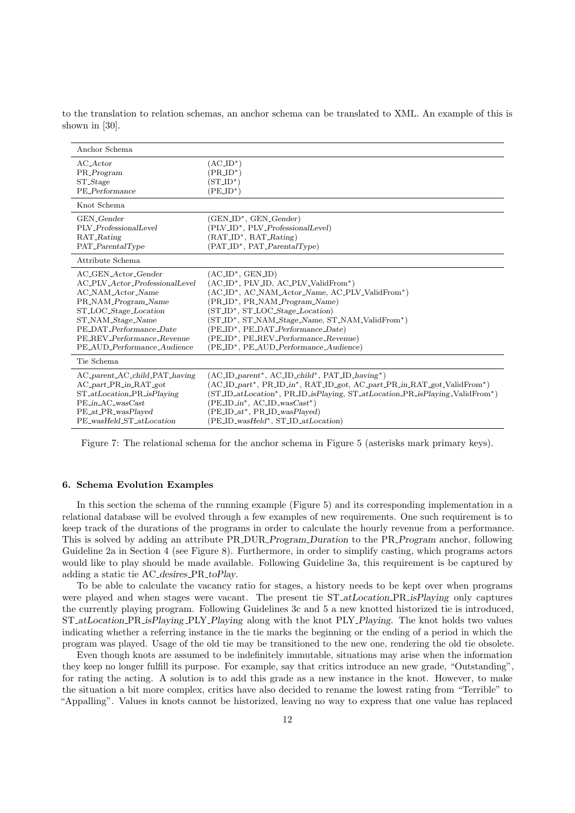| Anchor Schema                       |                                                                             |
|-------------------------------------|-----------------------------------------------------------------------------|
| AC_Actor                            | $(ACID^*)$                                                                  |
| PR_Program                          | $(PR_ID^*)$                                                                 |
| $ST\_Stage$                         | $(ST.ID^*)$                                                                 |
| PE_Performance                      | $(PE.ID^*)$                                                                 |
| Knot Schema                         |                                                                             |
| GEN <sub>-Gender</sub>              | $(GEN.ID^*, GEN\_Gender)$                                                   |
| PLV ProfessionalLevel               | (PLV_ID*, PLV_ProfessionalLevel)                                            |
| RAT_Rating                          | $(RAT.ID^*, RAT_Rating)$                                                    |
| PAT_ParentalType                    | $(PAT.ID^*, PAT\_ParentalType)$                                             |
| Attribute Schema                    |                                                                             |
| AC GEN Actor Gender                 | $(ACID^*, GEN.ID)$                                                          |
| AC PLV Actor ProfessionalLevel      | (AC_ID*, PLV_ID, AC_PLV_ValidFrom*)                                         |
| AC_NAM_Actor_Name                   | (AC_ID*, AC_NAM_Actor_Name, AC_PLV_ValidFrom*)                              |
| PR_NAM_Program_Name                 | (PR_ID <sup>*</sup> , PR_NAM_ <i>Program_Name</i> )                         |
| ST_LOC_Stage_Location               | $(ST.ID^*, ST\_LOC\_Stage\_Location)$                                       |
| ST_NAM_Stage_Name                   | (ST_ID*, ST_NAM_Stage_Name, ST_NAM_ValidFrom*)                              |
| PE_DAT_Performance_Date             | (PE_ID*, PE_DAT_Performance_Date)                                           |
| PE_REV_Performance_Revenue          | (PE_ID*, PE_REV_Performance_Revenue)                                        |
| PE_AUD_Performance_Audience         | (PE_ID*, PE_AUD_Performance_Audience)                                       |
| Tie Schema                          |                                                                             |
| $AC_parent\_AC_child\_PATH\_having$ | $(ACID_parent^*, ACID_child^*, PAT_ID_having^*)$                            |
| $AC$ -part_ $PR$ _in_ $RAT$ -got    | (AC_ID_part*, PR_ID_in*, RAT_ID_got, AC_part_PR_in_RAT_got_ValidFrom*)      |
| $ST_attLocation_PR_isPlaying$       | (ST_ID_atLocation*, PR_ID_isPlaying, ST_atLocation_PR_isPlaying_ValidFrom*) |
| $PE_in_AC_wasCast$                  | $(PE.ID_in^*, AC.ID_wasCast^*)$                                             |
| $PE_at$ <sub>-Was</sub> $Plaved$    | $(PE\_ID_at^*, PR\_ID\_wasPlayer)$                                          |
| PE_wasHeld_ST_atLocation            | (PE_ID_wasHeld*, ST_ID_atLocation)                                          |

to the translation to relation schemas, an anchor schema can be translated to XML. An example of this is shown in [30].

Figure 7: The relational schema for the anchor schema in Figure 5 (asterisks mark primary keys).

# 6. Schema Evolution Examples

In this section the schema of the running example (Figure 5) and its corresponding implementation in a relational database will be evolved through a few examples of new requirements. One such requirement is to keep track of the durations of the programs in order to calculate the hourly revenue from a performance. This is solved by adding an attribute PR\_DUR\_Program\_Duration to the PR\_Program anchor, following Guideline 2a in Section 4 (see Figure 8). Furthermore, in order to simplify casting, which programs actors would like to play should be made available. Following Guideline 3a, this requirement is be captured by adding a static tie AC desires PR toPlay.

To be able to calculate the vacancy ratio for stages, a history needs to be kept over when programs were played and when stages were vacant. The present tie ST<sub>rat</sub>Location PR isPlaying only captures the currently playing program. Following Guidelines 3c and 5 a new knotted historized tie is introduced, ST atLocation PR isPlaying PLY Playing along with the knot PLY Playing. The knot holds two values indicating whether a referring instance in the tie marks the beginning or the ending of a period in which the program was played. Usage of the old tie may be transitioned to the new one, rendering the old tie obsolete.

Even though knots are assumed to be indefinitely immutable, situations may arise when the information they keep no longer fulfill its purpose. For example, say that critics introduce an new grade, "Outstanding", for rating the acting. A solution is to add this grade as a new instance in the knot. However, to make the situation a bit more complex, critics have also decided to rename the lowest rating from "Terrible" to "Appalling". Values in knots cannot be historized, leaving no way to express that one value has replaced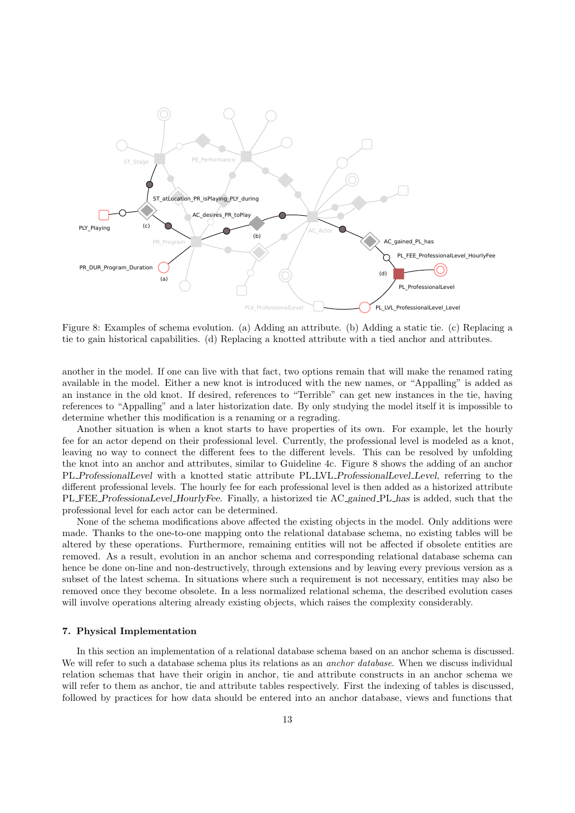

Figure 8: Examples of schema evolution. (a) Adding an attribute. (b) Adding a static tie. (c) Replacing a tie to gain historical capabilities. (d) Replacing a knotted attribute with a tied anchor and attributes.

another in the model. If one can live with that fact, two options remain that will make the renamed rating available in the model. Either a new knot is introduced with the new names, or "Appalling" is added as an instance in the old knot. If desired, references to "Terrible" can get new instances in the tie, having references to "Appalling" and a later historization date. By only studying the model itself it is impossible to determine whether this modification is a renaming or a regrading.

Another situation is when a knot starts to have properties of its own. For example, let the hourly fee for an actor depend on their professional level. Currently, the professional level is modeled as a knot, leaving no way to connect the different fees to the different levels. This can be resolved by unfolding the knot into an anchor and attributes, similar to Guideline 4c. Figure 8 shows the adding of an anchor PL ProfessionalLevel with a knotted static attribute PL LVL ProfessionalLevel Level, referring to the different professional levels. The hourly fee for each professional level is then added as a historized attribute PL FEE ProfessionaLevel HourlyFee. Finally, a historized tie AC gained PL has is added, such that the professional level for each actor can be determined.

None of the schema modifications above affected the existing objects in the model. Only additions were made. Thanks to the one-to-one mapping onto the relational database schema, no existing tables will be altered by these operations. Furthermore, remaining entities will not be affected if obsolete entities are removed. As a result, evolution in an anchor schema and corresponding relational database schema can hence be done on-line and non-destructively, through extensions and by leaving every previous version as a subset of the latest schema. In situations where such a requirement is not necessary, entities may also be removed once they become obsolete. In a less normalized relational schema, the described evolution cases will involve operations altering already existing objects, which raises the complexity considerably.

# 7. Physical Implementation

In this section an implementation of a relational database schema based on an anchor schema is discussed. We will refer to such a database schema plus its relations as an *anchor database*. When we discuss individual relation schemas that have their origin in anchor, tie and attribute constructs in an anchor schema we will refer to them as anchor, tie and attribute tables respectively. First the indexing of tables is discussed, followed by practices for how data should be entered into an anchor database, views and functions that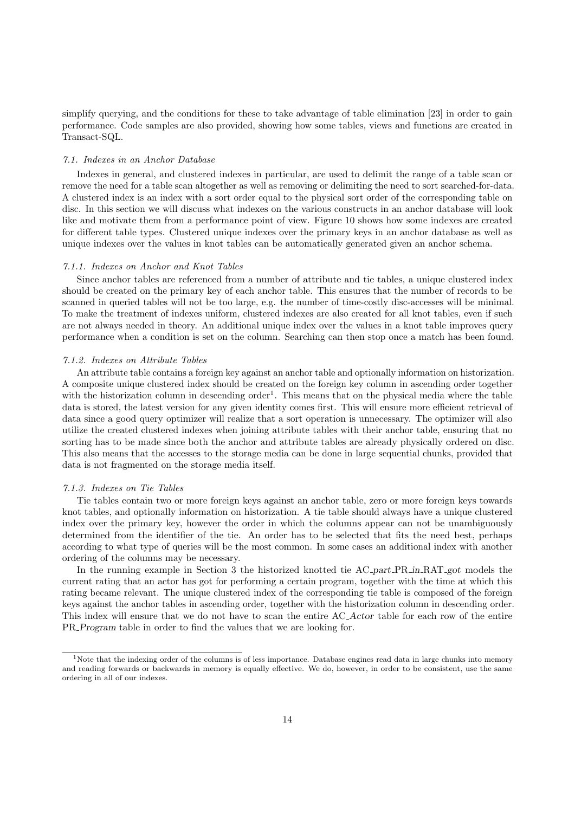simplify querying, and the conditions for these to take advantage of table elimination [23] in order to gain performance. Code samples are also provided, showing how some tables, views and functions are created in Transact-SQL.

# 7.1. Indexes in an Anchor Database

Indexes in general, and clustered indexes in particular, are used to delimit the range of a table scan or remove the need for a table scan altogether as well as removing or delimiting the need to sort searched-for-data. A clustered index is an index with a sort order equal to the physical sort order of the corresponding table on disc. In this section we will discuss what indexes on the various constructs in an anchor database will look like and motivate them from a performance point of view. Figure 10 shows how some indexes are created for different table types. Clustered unique indexes over the primary keys in an anchor database as well as unique indexes over the values in knot tables can be automatically generated given an anchor schema.

#### 7.1.1. Indexes on Anchor and Knot Tables

Since anchor tables are referenced from a number of attribute and tie tables, a unique clustered index should be created on the primary key of each anchor table. This ensures that the number of records to be scanned in queried tables will not be too large, e.g. the number of time-costly disc-accesses will be minimal. To make the treatment of indexes uniform, clustered indexes are also created for all knot tables, even if such are not always needed in theory. An additional unique index over the values in a knot table improves query performance when a condition is set on the column. Searching can then stop once a match has been found.

#### 7.1.2. Indexes on Attribute Tables

An attribute table contains a foreign key against an anchor table and optionally information on historization. A composite unique clustered index should be created on the foreign key column in ascending order together with the historization column in descending order<sup>1</sup>. This means that on the physical media where the table data is stored, the latest version for any given identity comes first. This will ensure more efficient retrieval of data since a good query optimizer will realize that a sort operation is unnecessary. The optimizer will also utilize the created clustered indexes when joining attribute tables with their anchor table, ensuring that no sorting has to be made since both the anchor and attribute tables are already physically ordered on disc. This also means that the accesses to the storage media can be done in large sequential chunks, provided that data is not fragmented on the storage media itself.

#### 7.1.3. Indexes on Tie Tables

Tie tables contain two or more foreign keys against an anchor table, zero or more foreign keys towards knot tables, and optionally information on historization. A tie table should always have a unique clustered index over the primary key, however the order in which the columns appear can not be unambiguously determined from the identifier of the tie. An order has to be selected that fits the need best, perhaps according to what type of queries will be the most common. In some cases an additional index with another ordering of the columns may be necessary.

In the running example in Section 3 the historized knotted tie AC part PR in RAT got models the current rating that an actor has got for performing a certain program, together with the time at which this rating became relevant. The unique clustered index of the corresponding tie table is composed of the foreign keys against the anchor tables in ascending order, together with the historization column in descending order. This index will ensure that we do not have to scan the entire AC Actor table for each row of the entire PR Program table in order to find the values that we are looking for.

<sup>&</sup>lt;sup>1</sup>Note that the indexing order of the columns is of less importance. Database engines read data in large chunks into memory and reading forwards or backwards in memory is equally effective. We do, however, in order to be consistent, use the same ordering in all of our indexes.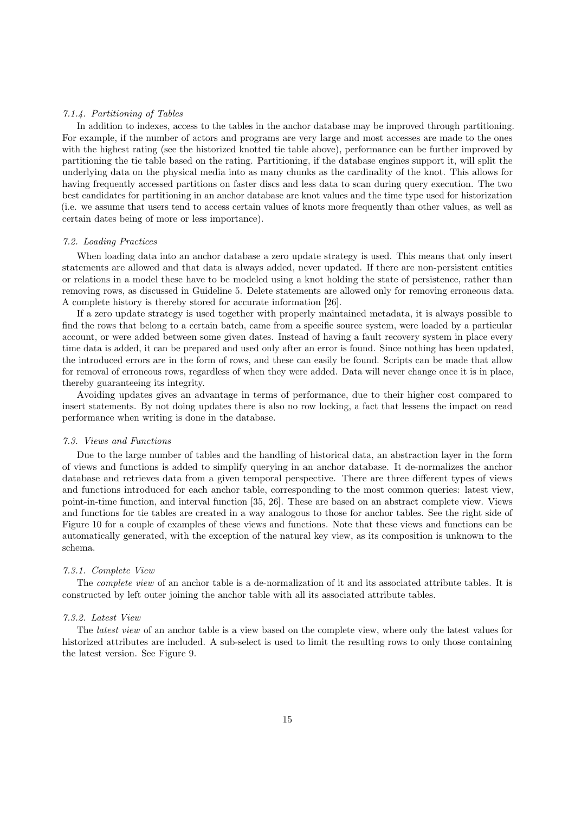# 7.1.4. Partitioning of Tables

In addition to indexes, access to the tables in the anchor database may be improved through partitioning. For example, if the number of actors and programs are very large and most accesses are made to the ones with the highest rating (see the historized knotted tie table above), performance can be further improved by partitioning the tie table based on the rating. Partitioning, if the database engines support it, will split the underlying data on the physical media into as many chunks as the cardinality of the knot. This allows for having frequently accessed partitions on faster discs and less data to scan during query execution. The two best candidates for partitioning in an anchor database are knot values and the time type used for historization (i.e. we assume that users tend to access certain values of knots more frequently than other values, as well as certain dates being of more or less importance).

#### 7.2. Loading Practices

When loading data into an anchor database a zero update strategy is used. This means that only insert statements are allowed and that data is always added, never updated. If there are non-persistent entities or relations in a model these have to be modeled using a knot holding the state of persistence, rather than removing rows, as discussed in Guideline 5. Delete statements are allowed only for removing erroneous data. A complete history is thereby stored for accurate information [26].

If a zero update strategy is used together with properly maintained metadata, it is always possible to find the rows that belong to a certain batch, came from a specific source system, were loaded by a particular account, or were added between some given dates. Instead of having a fault recovery system in place every time data is added, it can be prepared and used only after an error is found. Since nothing has been updated, the introduced errors are in the form of rows, and these can easily be found. Scripts can be made that allow for removal of erroneous rows, regardless of when they were added. Data will never change once it is in place, thereby guaranteeing its integrity.

Avoiding updates gives an advantage in terms of performance, due to their higher cost compared to insert statements. By not doing updates there is also no row locking, a fact that lessens the impact on read performance when writing is done in the database.

### 7.3. Views and Functions

Due to the large number of tables and the handling of historical data, an abstraction layer in the form of views and functions is added to simplify querying in an anchor database. It de-normalizes the anchor database and retrieves data from a given temporal perspective. There are three different types of views and functions introduced for each anchor table, corresponding to the most common queries: latest view, point-in-time function, and interval function [35, 26]. These are based on an abstract complete view. Views and functions for tie tables are created in a way analogous to those for anchor tables. See the right side of Figure 10 for a couple of examples of these views and functions. Note that these views and functions can be automatically generated, with the exception of the natural key view, as its composition is unknown to the schema.

#### 7.3.1. Complete View

The complete view of an anchor table is a de-normalization of it and its associated attribute tables. It is constructed by left outer joining the anchor table with all its associated attribute tables.

## 7.3.2. Latest View

The *latest view* of an anchor table is a view based on the complete view, where only the latest values for historized attributes are included. A sub-select is used to limit the resulting rows to only those containing the latest version. See Figure 9.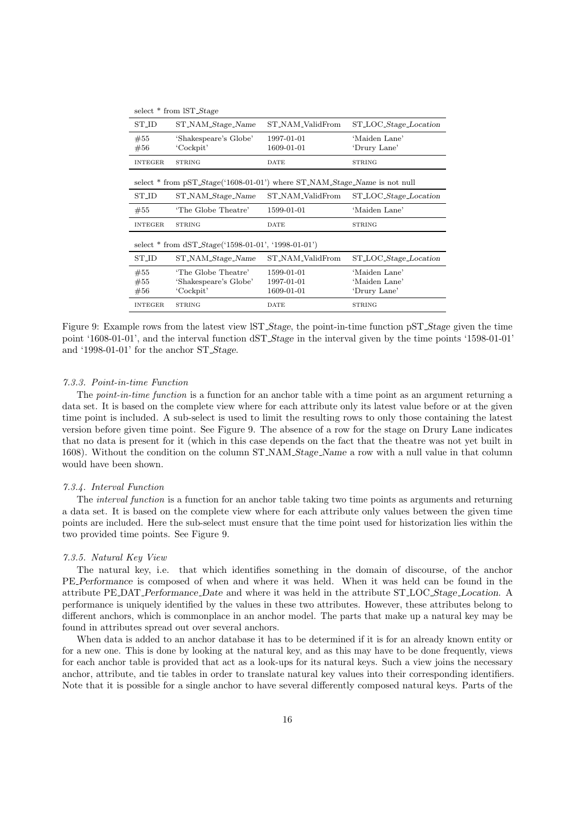| select * from IST_Stage                                                      |                                                           |                                        |                                                |  |  |  |  |  |  |
|------------------------------------------------------------------------------|-----------------------------------------------------------|----------------------------------------|------------------------------------------------|--|--|--|--|--|--|
| ST_ID                                                                        | ST_NAM_Stage_Name                                         | ST_NAM_ValidFrom                       | ST_LOC_Stage_Location                          |  |  |  |  |  |  |
| #55<br>#56                                                                   | 'Shakespeare's Globe'<br>'Cockpit'                        | 1997-01-01<br>1609-01-01               | 'Maiden Lane'<br>'Drury Lane'                  |  |  |  |  |  |  |
| <b>INTEGER</b>                                                               | <b>STRING</b>                                             | <b>DATE</b>                            | <b>STRING</b>                                  |  |  |  |  |  |  |
| select * from pST_Stage('1608-01-01') where $ST$ _NAM_Stage_Name is not null |                                                           |                                        |                                                |  |  |  |  |  |  |
| ST_ID                                                                        | ST_NAM_Stage_Name                                         | ST_NAM_ValidFrom                       | ST_LOC_Stage_Location                          |  |  |  |  |  |  |
| #55                                                                          | 'The Globe Theatre'                                       | 1599-01-01                             | 'Maiden Lane'                                  |  |  |  |  |  |  |
| <b>INTEGER</b>                                                               | <b>STRING</b>                                             | <b>DATE</b>                            | <b>STRING</b>                                  |  |  |  |  |  |  |
|                                                                              | select * from dST_Stage('1598-01-01', '1998-01-01')       |                                        |                                                |  |  |  |  |  |  |
| ST_ID                                                                        | ST_NAM_Stage_Name                                         | ST_NAM_ValidFrom                       | ST_LOC_Stage_Location                          |  |  |  |  |  |  |
| #55<br>#55<br>#56                                                            | 'The Globe Theatre'<br>'Shakespeare's Globe'<br>'Cockpit' | 1599-01-01<br>1997-01-01<br>1609-01-01 | 'Maiden Lane'<br>'Maiden Lane'<br>'Drury Lane' |  |  |  |  |  |  |
| <b>INTEGER</b>                                                               | <b>STRING</b>                                             | <b>DATE</b>                            | <b>STRING</b>                                  |  |  |  |  |  |  |

Figure 9: Example rows from the latest view lST Stage, the point-in-time function pST Stage given the time point '1608-01-01', and the interval function dST Stage in the interval given by the time points '1598-01-01' and '1998-01-01' for the anchor ST\_Stage.

#### 7.3.3. Point-in-time Function

The *point-in-time function* is a function for an anchor table with a time point as an argument returning a data set. It is based on the complete view where for each attribute only its latest value before or at the given time point is included. A sub-select is used to limit the resulting rows to only those containing the latest version before given time point. See Figure 9. The absence of a row for the stage on Drury Lane indicates that no data is present for it (which in this case depends on the fact that the theatre was not yet built in 1608). Without the condition on the column ST NAM Stage Name a row with a null value in that column would have been shown.

#### 7.3.4. Interval Function

The *interval function* is a function for an anchor table taking two time points as arguments and returning a data set. It is based on the complete view where for each attribute only values between the given time points are included. Here the sub-select must ensure that the time point used for historization lies within the two provided time points. See Figure 9.

#### 7.3.5. Natural Key View

The natural key, i.e. that which identifies something in the domain of discourse, of the anchor PE Performance is composed of when and where it was held. When it was held can be found in the attribute PE DAT Performance Date and where it was held in the attribute ST LOC Stage Location. A performance is uniquely identified by the values in these two attributes. However, these attributes belong to different anchors, which is commonplace in an anchor model. The parts that make up a natural key may be found in attributes spread out over several anchors.

When data is added to an anchor database it has to be determined if it is for an already known entity or for a new one. This is done by looking at the natural key, and as this may have to be done frequently, views for each anchor table is provided that act as a look-ups for its natural keys. Such a view joins the necessary anchor, attribute, and tie tables in order to translate natural key values into their corresponding identifiers. Note that it is possible for a single anchor to have several differently composed natural keys. Parts of the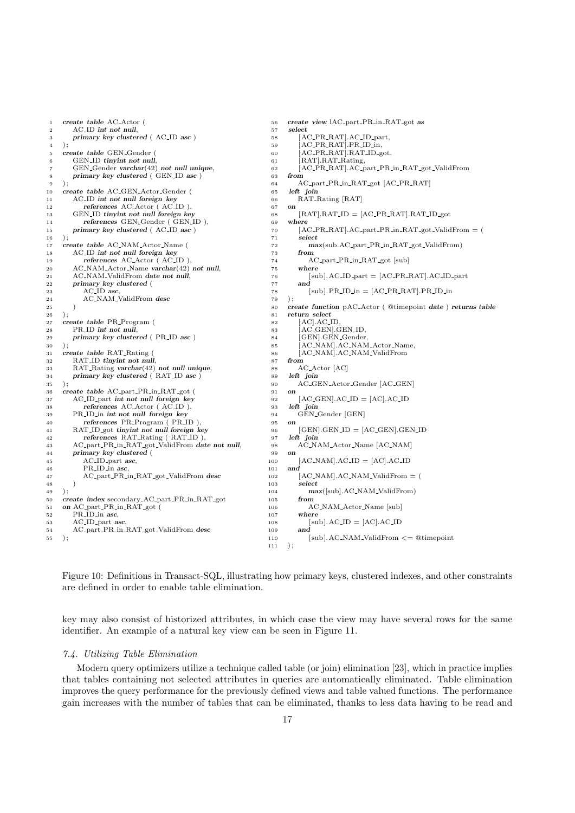| $\mathbf{1}$            | create table AC_Actor (                                             | 56         | create view IAC_part_PR_in_RAT_got as                                |
|-------------------------|---------------------------------------------------------------------|------------|----------------------------------------------------------------------|
| $\boldsymbol{2}$        | $AC\_ID$ int not null,                                              | 57         | select                                                               |
| з                       | primary key clustered (AC_ID asc)                                   | 58         | AC_PR_RAT .AC_ID_part,                                               |
| $\overline{\mathbf{4}}$ | );                                                                  | 59         | $AC\_PR\_RAT$ . $PR\_ID\_in$ ,                                       |
| 5                       | create table GEN_Gender (<br>GEN_ID tinyint not null,               | 60         | AC_PR_RAT .RAT_ID_got,<br>RAT.RAT_Rating,                            |
| 6<br>7                  | $GEN_{\text{Gender}}$ varchar $(42)$ not null unique,               | 61<br>62   | AC_PR_RAT .AC_part_PR_in_RAT_got_ValidFrom                           |
| 8                       | primary key clustered (GEN_ID asc)                                  | 63         | from                                                                 |
| 9                       | );                                                                  | 64         | AC_part_PR_in_RAT_got [AC_PR_RAT]                                    |
| 10                      | create table AC_GEN_Actor_Gender (                                  | 65         | left join                                                            |
| 11                      | ACLID int not null foreign key                                      | 66         | RAT_Rating [RAT]                                                     |
| 12                      | references AC_Actor (AC_ID),                                        | 67         | on                                                                   |
| 13                      | GEN_ID tinyint not null foreign key                                 | 68         | $[RAT].RATID = [AC_PR_RAT].RATID_got$                                |
| 14                      | references GEN <sub>-Gender</sub> (GEN <sub>-ID</sub> ),            | 69         | where                                                                |
| 15                      | primary key clustered (AC_ID asc)                                   | 70         | $ AC_PR_RAT $ .AC_part_PR_in_RAT_got_ValidFrom = (                   |
| 16                      | );                                                                  | 71         | select                                                               |
| 17                      | create table AC_NAM_Actor_Name (                                    | 72         | max(sub.AC_part_PR_in_RAT_got_ValidFrom)                             |
| 18                      | AC <sub>JD</sub> int not null foreign key                           | 73         | from                                                                 |
| 19                      | references AC_Actor (AC_ID),                                        | 74         | AC_part_PR_in_RAT_got  sub                                           |
| 20                      | $AC_NAM\_Factor_N$ ame varchar $(42)$ not null,                     | 75         | where                                                                |
| 21                      | AC_NAM_ValidFrom date not null,                                     | 76         | $[sub]$ . AC_ID_part = [AC_PR_RAT]. AC_ID_part                       |
| 22                      | primary key clustered (<br>$AC.ID$ asc,                             | 77         | and<br>$[\text{sub}]$ . PR_ID_in = $[\text{AC\_PR\_RAT}]$ . PR_ID_in |
| 23<br>24                | AC_NAM_ValidFrom desc                                               | 78<br>79   | );                                                                   |
| 25                      | $\lambda$                                                           | 80         | create function pAC_Actor ( @timepoint date ) returns table          |
| 26                      | );                                                                  | 81         | return select                                                        |
| 27                      | create table PR_Program (                                           | 82         | [AC].AC_ID,                                                          |
| 28                      | PR_ID int not null,                                                 | 83         | AC_GEN GEN_ID,                                                       |
| 29                      | primary key clustered (PR_ID asc)                                   | 84         | GEN.GEN_Gender,                                                      |
| 30                      | );                                                                  | 85         | AC_NAM].AC_NAM_Actor_Name,                                           |
| 31                      | create table RAT_Rating (                                           | 86         | [AC_NAM].AC_NAM_ValidFrom                                            |
| 32                      | RAT_ID tinyint not null,                                            | 87         | from                                                                 |
| 33                      | RAT_Rating varchar $(42)$ not null unique,                          | 88         | $AC_Actor$ $[AC]$                                                    |
| 34                      | primary key clustered (RAT_ID asc)                                  | 89         | left join                                                            |
| 35                      | );                                                                  | 90         | AC_GEN_Actor_Gender  AC_GEN                                          |
| 36                      | create table AC_part_PR_in_RAT_got (                                | 91         | on                                                                   |
| 37                      | AC <sub>JD</sub> -part int not null foreign key                     | 92         |                                                                      |
| 38                      | references AC_Actor (AC_ID),                                        | 93         | left join                                                            |
| 39                      | PR_ID_in int not null foreign key<br>references PR_Program (PR_ID), | 94         | GEN_Gender [GEN]                                                     |
| 40<br>41                | RAT_ID_got tinyint not null foreign key                             | 95<br>96   | on<br>$[GEN].GENID = [AC.GEN].GEN.ID$                                |
| 42                      | references RAT_Rating (RAT_ID),                                     | 97         | left join                                                            |
| 43                      | AC_part_PR_in_RAT_got_ValidFrom date not null,                      | 98         | AC_NAM_Actor_Name  AC_NAM                                            |
| 44                      | primary key clustered (                                             | 99         | on                                                                   |
| 45                      | $AC.ID$ -part asc,                                                  | 100        | $[AC_NAM].ACID = [AC].ACID$                                          |
| 46                      | PR_ID_in asc,                                                       | 101        | and                                                                  |
| 47                      | AC_part_PR_in_RAT_got_ValidFrom desc                                | 102        | $[AC_NAM].AC_NAM_ValidFrom = ($                                      |
| 48                      | $\lambda$                                                           | 103        | select                                                               |
| 49                      | );                                                                  | 104        | max([sub].AC_NAM_ValidFrom)                                          |
| 50                      | create index secondary_AC_part_PR_in_RAT_got                        | 105        | from                                                                 |
| 51                      | on AC_part_PR_in_RAT_got (                                          | 106        | AC_NAM_Actor_Name [sub]                                              |
| 52                      | PR_ID_in asc.                                                       | 107        | where                                                                |
| 53                      | $AC\_ID$ -part asc.                                                 | 108        | $[sub]$ . AC_ID = $[AC]$ . AC_ID                                     |
| 54                      | AC_part_PR_in_RAT_got_ValidFrom desc                                | 109        | and<br>$[\text{sub}]$ . AC_NAM_ValidFrom $\leq$ @timepoint           |
| 55                      | );                                                                  | 110<br>111 |                                                                      |
|                         |                                                                     |            |                                                                      |

Figure 10: Definitions in Transact-SQL, illustrating how primary keys, clustered indexes, and other constraints are defined in order to enable table elimination.

key may also consist of historized attributes, in which case the view may have several rows for the same identifier. An example of a natural key view can be seen in Figure 11.

# 7.4. Utilizing Table Elimination

Modern query optimizers utilize a technique called table (or join) elimination [23], which in practice implies that tables containing not selected attributes in queries are automatically eliminated. Table elimination improves the query performance for the previously defined views and table valued functions. The performance gain increases with the number of tables that can be eliminated, thanks to less data having to be read and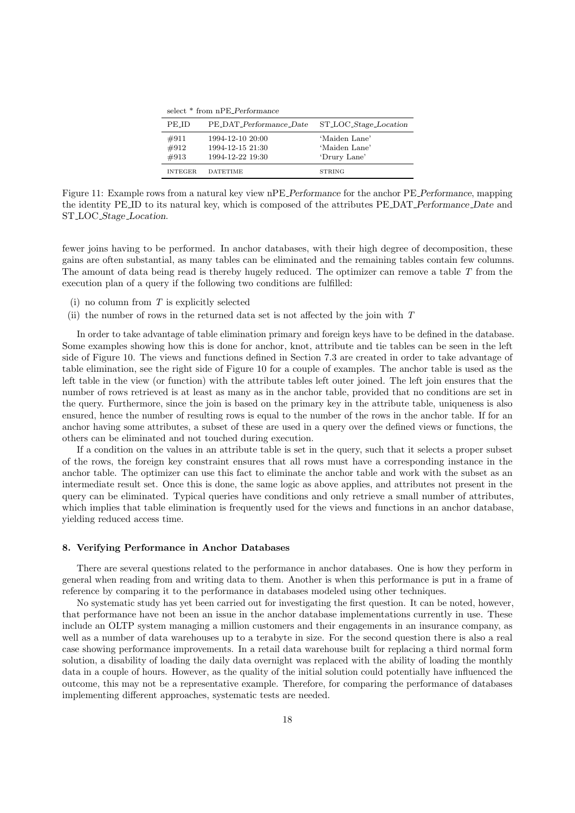select \* from nPE\_Performance

| PE ID                | PE_DAT_Performance_Date                                  | ST_LOC_Stage_Location                          |
|----------------------|----------------------------------------------------------|------------------------------------------------|
| #911<br>#912<br>#913 | 1994-12-10 20:00<br>1994-12-15 21:30<br>1994-12-22 19:30 | 'Maiden Lane'<br>'Maiden Lane'<br>'Drury Lane' |
| <b>INTEGER</b>       | <b>DATETIME</b>                                          | <b>STRING</b>                                  |

Figure 11: Example rows from a natural key view nPE Performance for the anchor PE Performance, mapping the identity PE ID to its natural key, which is composed of the attributes PE DAT Performance Date and ST LOC Stage Location.

fewer joins having to be performed. In anchor databases, with their high degree of decomposition, these gains are often substantial, as many tables can be eliminated and the remaining tables contain few columns. The amount of data being read is thereby hugely reduced. The optimizer can remove a table  $T$  from the execution plan of a query if the following two conditions are fulfilled:

- (i) no column from  $T$  is explicitly selected
- (ii) the number of rows in the returned data set is not affected by the join with T

In order to take advantage of table elimination primary and foreign keys have to be defined in the database. Some examples showing how this is done for anchor, knot, attribute and tie tables can be seen in the left side of Figure 10. The views and functions defined in Section 7.3 are created in order to take advantage of table elimination, see the right side of Figure 10 for a couple of examples. The anchor table is used as the left table in the view (or function) with the attribute tables left outer joined. The left join ensures that the number of rows retrieved is at least as many as in the anchor table, provided that no conditions are set in the query. Furthermore, since the join is based on the primary key in the attribute table, uniqueness is also ensured, hence the number of resulting rows is equal to the number of the rows in the anchor table. If for an anchor having some attributes, a subset of these are used in a query over the defined views or functions, the others can be eliminated and not touched during execution.

If a condition on the values in an attribute table is set in the query, such that it selects a proper subset of the rows, the foreign key constraint ensures that all rows must have a corresponding instance in the anchor table. The optimizer can use this fact to eliminate the anchor table and work with the subset as an intermediate result set. Once this is done, the same logic as above applies, and attributes not present in the query can be eliminated. Typical queries have conditions and only retrieve a small number of attributes, which implies that table elimination is frequently used for the views and functions in an anchor database, yielding reduced access time.

## 8. Verifying Performance in Anchor Databases

There are several questions related to the performance in anchor databases. One is how they perform in general when reading from and writing data to them. Another is when this performance is put in a frame of reference by comparing it to the performance in databases modeled using other techniques.

No systematic study has yet been carried out for investigating the first question. It can be noted, however, that performance have not been an issue in the anchor database implementations currently in use. These include an OLTP system managing a million customers and their engagements in an insurance company, as well as a number of data warehouses up to a terabyte in size. For the second question there is also a real case showing performance improvements. In a retail data warehouse built for replacing a third normal form solution, a disability of loading the daily data overnight was replaced with the ability of loading the monthly data in a couple of hours. However, as the quality of the initial solution could potentially have influenced the outcome, this may not be a representative example. Therefore, for comparing the performance of databases implementing different approaches, systematic tests are needed.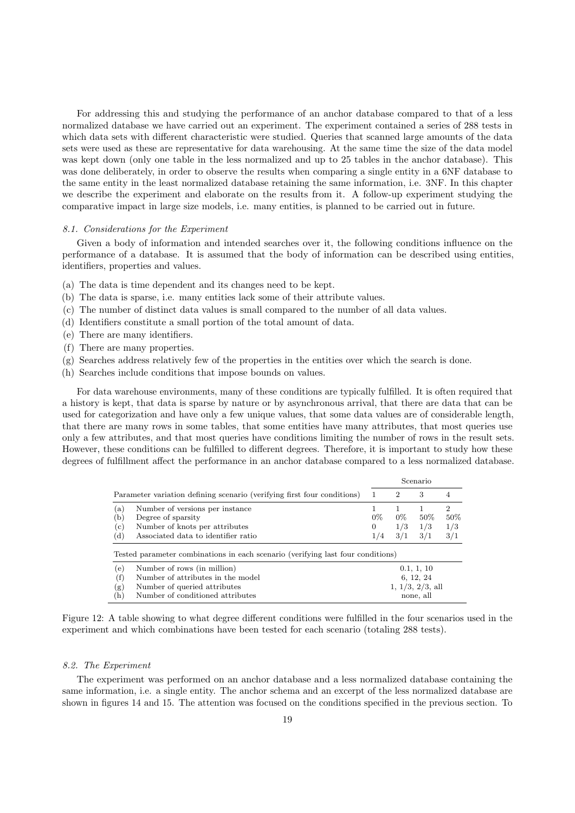For addressing this and studying the performance of an anchor database compared to that of a less normalized database we have carried out an experiment. The experiment contained a series of 288 tests in which data sets with different characteristic were studied. Queries that scanned large amounts of the data sets were used as these are representative for data warehousing. At the same time the size of the data model was kept down (only one table in the less normalized and up to 25 tables in the anchor database). This was done deliberately, in order to observe the results when comparing a single entity in a 6NF database to the same entity in the least normalized database retaining the same information, i.e. 3NF. In this chapter we describe the experiment and elaborate on the results from it. A follow-up experiment studying the comparative impact in large size models, i.e. many entities, is planned to be carried out in future.

#### 8.1. Considerations for the Experiment

Given a body of information and intended searches over it, the following conditions influence on the performance of a database. It is assumed that the body of information can be described using entities, identifiers, properties and values.

- (a) The data is time dependent and its changes need to be kept.
- (b) The data is sparse, i.e. many entities lack some of their attribute values.
- (c) The number of distinct data values is small compared to the number of all data values.
- (d) Identifiers constitute a small portion of the total amount of data.
- (e) There are many identifiers.
- (f) There are many properties.
- (g) Searches address relatively few of the properties in the entities over which the search is done.
- (h) Searches include conditions that impose bounds on values.

For data warehouse environments, many of these conditions are typically fulfilled. It is often required that a history is kept, that data is sparse by nature or by asynchronous arrival, that there are data that can be used for categorization and have only a few unique values, that some data values are of considerable length, that there are many rows in some tables, that some entities have many attributes, that most queries use only a few attributes, and that most queries have conditions limiting the number of rows in the result sets. However, these conditions can be fulfilled to different degrees. Therefore, it is important to study how these degrees of fulfillment affect the performance in an anchor database compared to a less normalized database.

|     |                                                                                 | Scenario                   |                |            |                |  |  |
|-----|---------------------------------------------------------------------------------|----------------------------|----------------|------------|----------------|--|--|
|     | Parameter variation defining scenario (verifying first four conditions)         | L                          | $\overline{2}$ | 3          | 4              |  |  |
| (a) | Number of versions per instance                                                 |                            |                |            | $\overline{2}$ |  |  |
| (b) | Degree of sparsity                                                              | $0\%$                      | $0\%$          | $50\%$     | $50\%$         |  |  |
| (c) | Number of knots per attributes                                                  | 0                          | 1/3            | 1/3        | 1/3            |  |  |
| (d) | Associated data to identifier ratio                                             | 1/4                        | 3/1            | 3/1        | 3/1            |  |  |
|     | Tested parameter combinations in each scenario (verifying last four conditions) |                            |                |            |                |  |  |
| (e) | Number of rows (in million)                                                     |                            |                | 0.1, 1, 10 |                |  |  |
| (f) | Number of attributes in the model                                               | 6, 12, 24                  |                |            |                |  |  |
| (g) | Number of queried attributes                                                    | $1, 1/3, 2/3, \text{ all}$ |                |            |                |  |  |
| (h) | Number of conditioned attributes                                                | none, all                  |                |            |                |  |  |

Figure 12: A table showing to what degree different conditions were fulfilled in the four scenarios used in the experiment and which combinations have been tested for each scenario (totaling 288 tests).

#### 8.2. The Experiment

The experiment was performed on an anchor database and a less normalized database containing the same information, i.e. a single entity. The anchor schema and an excerpt of the less normalized database are shown in figures 14 and 15. The attention was focused on the conditions specified in the previous section. To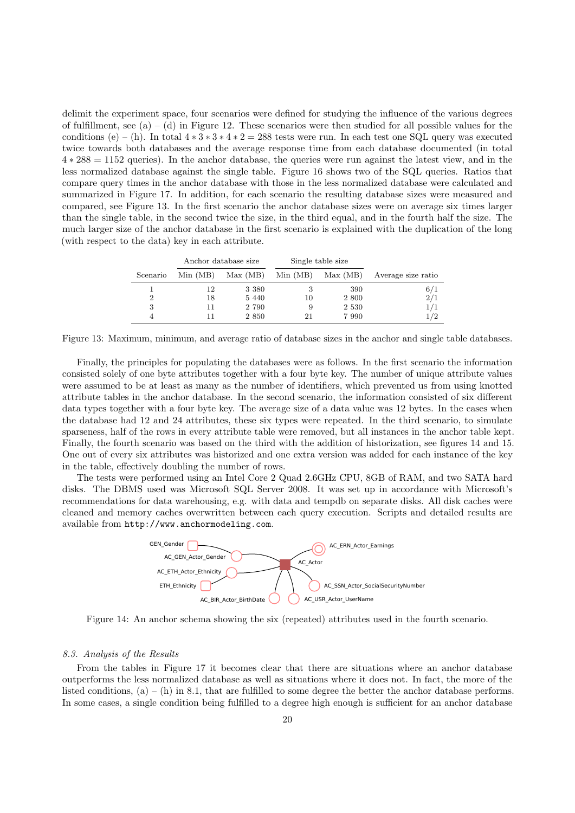delimit the experiment space, four scenarios were defined for studying the influence of the various degrees of fulfillment, see (a) – (d) in Figure 12. These scenarios were then studied for all possible values for the conditions (e) – (h). In total  $4*3*3*4*2=288$  tests were run. In each test one SQL query was executed twice towards both databases and the average response time from each database documented (in total 4 ∗ 288 = 1152 queries). In the anchor database, the queries were run against the latest view, and in the less normalized database against the single table. Figure 16 shows two of the SQL queries. Ratios that compare query times in the anchor database with those in the less normalized database were calculated and summarized in Figure 17. In addition, for each scenario the resulting database sizes were measured and compared, see Figure 13. In the first scenario the anchor database sizes were on average six times larger than the single table, in the second twice the size, in the third equal, and in the fourth half the size. The much larger size of the anchor database in the first scenario is explained with the duplication of the long (with respect to the data) key in each attribute.

|                |         | Anchor database size |         | Single table size |                    |
|----------------|---------|----------------------|---------|-------------------|--------------------|
| Scenario       | Min(MB) | Max(MB)              | Min(MB) | Max(MB)           | Average size ratio |
|                | 12      | 3 3 8 0              |         | 390               | 6/1                |
| $\overline{2}$ | 18      | 5440                 | 10      | 2 800             | 2/1                |
| 3              | 11      | 2 790                | 9       | 2 5 3 0           | 1/1                |
|                | 11      | 2 8 5 0              | 21      | 7990              | 1/2                |

Figure 13: Maximum, minimum, and average ratio of database sizes in the anchor and single table databases.

Finally, the principles for populating the databases were as follows. In the first scenario the information consisted solely of one byte attributes together with a four byte key. The number of unique attribute values were assumed to be at least as many as the number of identifiers, which prevented us from using knotted attribute tables in the anchor database. In the second scenario, the information consisted of six different data types together with a four byte key. The average size of a data value was 12 bytes. In the cases when the database had 12 and 24 attributes, these six types were repeated. In the third scenario, to simulate sparseness, half of the rows in every attribute table were removed, but all instances in the anchor table kept. Finally, the fourth scenario was based on the third with the addition of historization, see figures 14 and 15. One out of every six attributes was historized and one extra version was added for each instance of the key in the table, effectively doubling the number of rows.

The tests were performed using an Intel Core 2 Quad 2.6GHz CPU, 8GB of RAM, and two SATA hard disks. The DBMS used was Microsoft SQL Server 2008. It was set up in accordance with Microsoft's recommendations for data warehousing, e.g. with data and tempdb on separate disks. All disk caches were cleaned and memory caches overwritten between each query execution. Scripts and detailed results are available from http://www.anchormodeling.com.



Figure 14: An anchor schema showing the six (repeated) attributes used in the fourth scenario.

#### 8.3. Analysis of the Results

From the tables in Figure 17 it becomes clear that there are situations where an anchor database outperforms the less normalized database as well as situations where it does not. In fact, the more of the listed conditions,  $(a) - (h)$  in 8.1, that are fulfilled to some degree the better the anchor database performs. In some cases, a single condition being fulfilled to a degree high enough is sufficient for an anchor database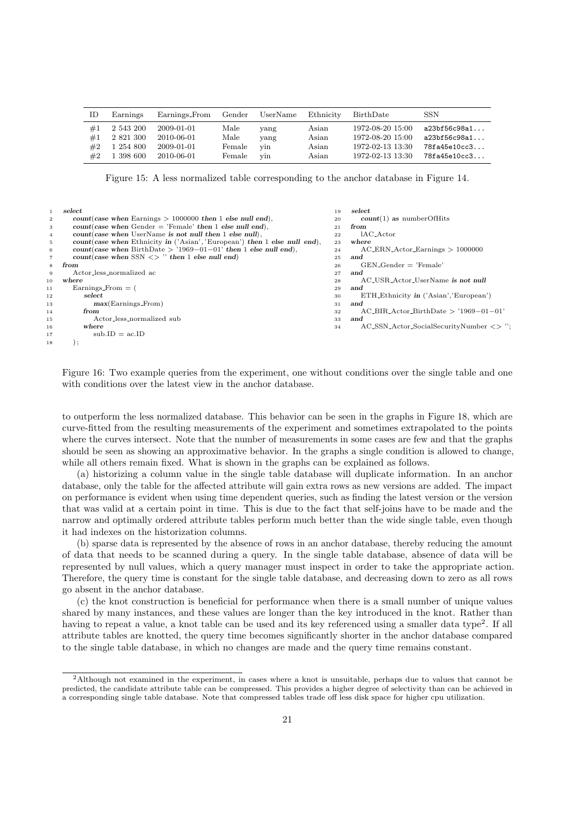| ID. | Earnings  | Earnings_From | Gender | UserName | Ethnicity | BirthDate        | SSN          |
|-----|-----------|---------------|--------|----------|-----------|------------------|--------------|
| #1  | 2 543 200 | 2009-01-01    | Male   | yang     | Asian     | 1972-08-20 15:00 | a23bf56c98a1 |
| #1  | 2 821 300 | 2010-06-01    | Male   | yang     | Asian     | 1972-08-20 15:00 | a23bf56c98a1 |
| #2  | 1 254 800 | 2009-01-01    | Female | vin      | Asian     | 1972-02-13 13:30 | 78fa45e10cc3 |
| #2  | 1 398 600 | 2010-06-01    | Female | vin      | Asian     | 1972-02-13 13:30 | 78fa45e10cc3 |

Figure 15: A less normalized table corresponding to the anchor database in Figure 14.

| $\mathbf{1}$   | select                                                                             | 19 | select                                                          |
|----------------|------------------------------------------------------------------------------------|----|-----------------------------------------------------------------|
| $\overline{2}$ | count (case when Earnings $> 1000000$ then 1 else null end).                       | 20 | $count(1)$ as numberOfHits                                      |
| 3              | $count(\text{case when Gender} = 'Female' \text{ then } 1 \text{ else null end}).$ | 21 | from                                                            |
| $\overline{4}$ | $count(\text{case when } \text{UserName is not null then } 1 \text{ else null}).$  | 22 | IAC Actor                                                       |
| 5              | count (case when Ethnicity in $($ 'Asian', 'European') then 1 else null end),      | 23 | where                                                           |
| 6              | count(case when BirthDate > '1969-01-01' then 1 else null end).                    | 24 | $AC\text{-}\text{ERN}\_\text{Actor}\_\text{Earnings} > 1000000$ |
| $\overline{7}$ | count (case when $SSN \ll y$ then 1 else null end)                                 | 25 | and                                                             |
| 8              | from                                                                               | 26 | $GEN$ Gender $=$ 'Female'                                       |
| 9              | Actor_less_normalized ac                                                           | 27 | and                                                             |
| 10             | where                                                                              | 28 | AC_USR_Actor_UserName is not null                               |
| 11             | Earnings_From $=$ (                                                                | 29 | and                                                             |
| 12             | select                                                                             | 30 | $ETH$ _Ethnicity in $('Asian', 'European')$                     |
| 13             | $max(Examples_F from)$                                                             | 31 | and                                                             |
| 14             | from                                                                               | 32 | $AC_BIR_Actor_BirthDate > '1969-01-01'$                         |
| 15             | Actor less normalized sub                                                          | 33 | and                                                             |
| 16             | where                                                                              | 34 | $AC\_SSN\_Actor\_SocialSecurityNumber$ <> ";                    |
| 17             | $sub.ID = ac.ID$                                                                   |    |                                                                 |
| 18             |                                                                                    |    |                                                                 |

Figure 16: Two example queries from the experiment, one without conditions over the single table and one with conditions over the latest view in the anchor database.

to outperform the less normalized database. This behavior can be seen in the graphs in Figure 18, which are curve-fitted from the resulting measurements of the experiment and sometimes extrapolated to the points where the curves intersect. Note that the number of measurements in some cases are few and that the graphs should be seen as showing an approximative behavior. In the graphs a single condition is allowed to change, while all others remain fixed. What is shown in the graphs can be explained as follows.

(a) historizing a column value in the single table database will duplicate information. In an anchor database, only the table for the affected attribute will gain extra rows as new versions are added. The impact on performance is evident when using time dependent queries, such as finding the latest version or the version that was valid at a certain point in time. This is due to the fact that self-joins have to be made and the narrow and optimally ordered attribute tables perform much better than the wide single table, even though it had indexes on the historization columns.

(b) sparse data is represented by the absence of rows in an anchor database, thereby reducing the amount of data that needs to be scanned during a query. In the single table database, absence of data will be represented by null values, which a query manager must inspect in order to take the appropriate action. Therefore, the query time is constant for the single table database, and decreasing down to zero as all rows go absent in the anchor database.

(c) the knot construction is beneficial for performance when there is a small number of unique values shared by many instances, and these values are longer than the key introduced in the knot. Rather than having to repeat a value, a knot table can be used and its key referenced using a smaller data type<sup>2</sup>. If all attribute tables are knotted, the query time becomes significantly shorter in the anchor database compared to the single table database, in which no changes are made and the query time remains constant.

<sup>2</sup>Although not examined in the experiment, in cases where a knot is unsuitable, perhaps due to values that cannot be predicted, the candidate attribute table can be compressed. This provides a higher degree of selectivity than can be achieved in a corresponding single table database. Note that compressed tables trade off less disk space for higher cpu utilization.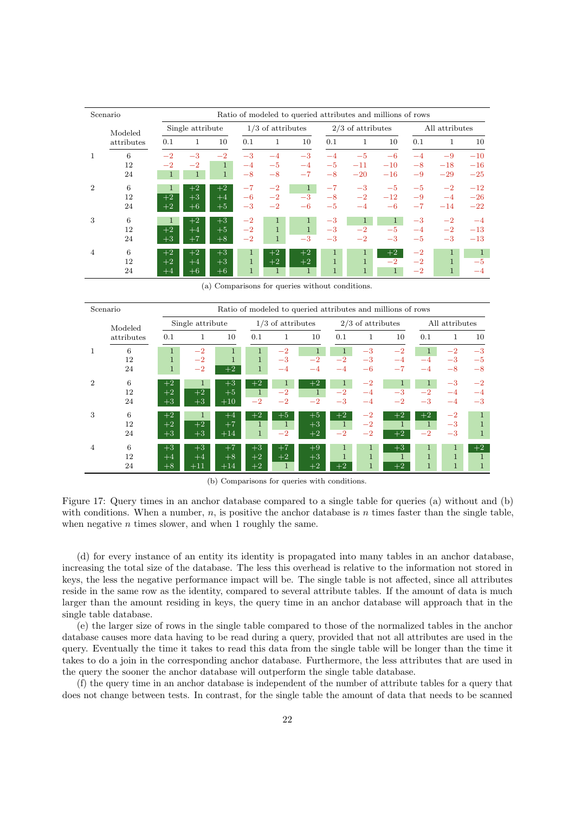|                | Scenario   | Ratio of modeled to queried attributes and millions of rows |                  |              |      |                     |              |              |                     |              |      |                |       |
|----------------|------------|-------------------------------------------------------------|------------------|--------------|------|---------------------|--------------|--------------|---------------------|--------------|------|----------------|-------|
|                | Modeled    |                                                             | Single attribute |              |      | $1/3$ of attributes |              |              | $2/3$ of attributes |              |      | All attributes |       |
|                | attributes | 0.1                                                         | $\mathbf{1}$     | 10           | 0.1  | $\mathbf{1}$        | 10           | 0.1          | $\mathbf{1}$        | 10           | 0.1  | 1              | 10    |
| 1              | 6          | $-2$                                                        | $-3$             | $-2$         | $-3$ | $-4$                | $-3$         | $-4$         | $-5$                | $-6$         | $-4$ | $-9$           | $-10$ |
|                | 12         | $-2$                                                        | $-2$             | $\mathbf{1}$ | $-4$ | $-5$                | $-4$         | $-5$         | $-11$               | $-10$        | $-8$ | $-18$          | $-16$ |
|                | 24         | 1                                                           | $\mathbf{1}$     | $\mathbf{1}$ | $-8$ | $-8$                | $-7$         | $-8$         | $-20$               | $-16$        | $-9$ | $-29$          | $-25$ |
| $\overline{2}$ | 6          | 1                                                           | $+2$             | $+2$         | $-7$ | $-2$                | $\mathbf{1}$ | $-7$         | $-3$                | $-5$         | $-5$ | $-2$           | $-12$ |
|                | 12         | $+2$                                                        | $+3$             | $+4$         | $-6$ | $-2$                | $-3$         | $-8$         | $-2$                | $-12$        | $-9$ | $-4$           | $-26$ |
|                | 24         | $+2$                                                        | $+6$             | $+5$         | $-3$ | $-2$                | $-6$         | $-5$         | $-4$                | $-6$         | $-7$ | $-14$          | $-22$ |
| 3              | 6          | 1                                                           | $+2$             | $+3$         | $-2$ | $\mathbf{1}$        | $\mathbf{1}$ | $-3$         | $\mathbf{1}$        | $\mathbf{1}$ | $-3$ | $-2$           | $-4$  |
|                | 12         | $+2$                                                        | $+4$             | $+5$         | $-2$ | $\mathbf{1}$        | $\mathbf{1}$ | $-3$         | $-2$                | $-5$         | $-4$ | $-2$           | $-13$ |
|                | 24         | $+3$                                                        | $+7$             | $+8$         | $-2$ | $\mathbf{1}$        | $-3$         | $-3$         | $-2$                | $-3$         | $-5$ | $-3$           | $-13$ |
| $\overline{4}$ | 6          | $+2$                                                        | $+2$             | $+3$         | 1    | $+2$                | $+2$         | $\mathbf{1}$ | $\mathbf{1}$        | $+2$         | $-2$ | $\mathbf{1}$   | 1     |
|                | 12         | $+2$                                                        | $+4$             | $+3$         | 1    | $+2$                | $+2$         | $\mathbf{1}$ | $\mathbf{1}$        | $-2$         | $-2$ | $\mathbf{1}$   | $-5$  |
|                | 24         | $+4$                                                        | $+6$             | $+6$         | 1    | $\mathbf{1}$        | $\mathbf{1}$ | $\mathbf{1}$ | 1                   | $\mathbf{1}$ | $-2$ | $\mathbf{1}$   | $-4$  |

(a) Comparisons for queries without conditions.



(b) Comparisons for queries with conditions.

(d) for every instance of an entity its identity is propagated into many tables in an anchor database, increasing the total size of the database. The less this overhead is relative to the information not stored in keys, the less the negative performance impact will be. The single table is not affected, since all attributes reside in the same row as the identity, compared to several attribute tables. If the amount of data is much larger than the amount residing in keys, the query time in an anchor database will approach that in the single table database.

(e) the larger size of rows in the single table compared to those of the normalized tables in the anchor database causes more data having to be read during a query, provided that not all attributes are used in the query. Eventually the time it takes to read this data from the single table will be longer than the time it takes to do a join in the corresponding anchor database. Furthermore, the less attributes that are used in the query the sooner the anchor database will outperform the single table database.

(f) the query time in an anchor database is independent of the number of attribute tables for a query that does not change between tests. In contrast, for the single table the amount of data that needs to be scanned

Figure 17: Query times in an anchor database compared to a single table for queries (a) without and (b) with conditions. When a number, n, is positive the anchor database is n times faster than the single table, when negative  $n$  times slower, and when 1 roughly the same.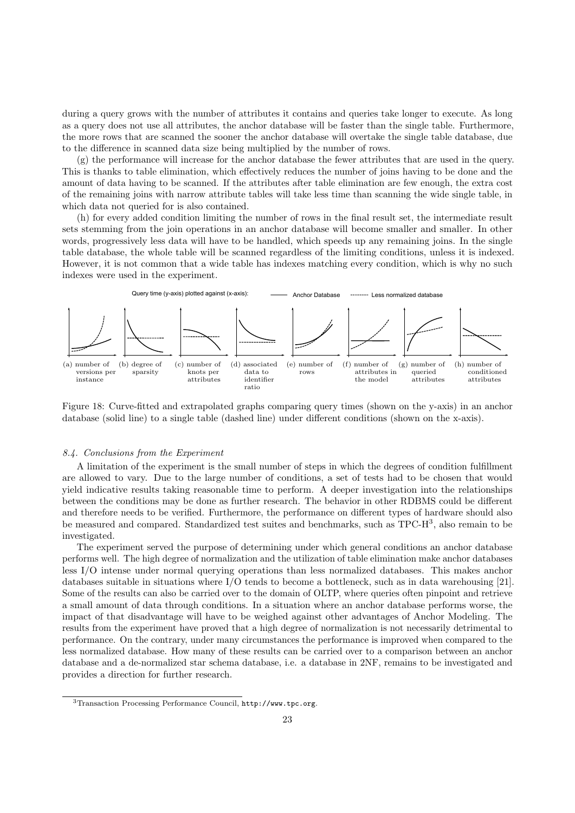during a query grows with the number of attributes it contains and queries take longer to execute. As long as a query does not use all attributes, the anchor database will be faster than the single table. Furthermore, the more rows that are scanned the sooner the anchor database will overtake the single table database, due to the difference in scanned data size being multiplied by the number of rows.

(g) the performance will increase for the anchor database the fewer attributes that are used in the query. This is thanks to table elimination, which effectively reduces the number of joins having to be done and the amount of data having to be scanned. If the attributes after table elimination are few enough, the extra cost of the remaining joins with narrow attribute tables will take less time than scanning the wide single table, in which data not queried for is also contained.

(h) for every added condition limiting the number of rows in the final result set, the intermediate result sets stemming from the join operations in an anchor database will become smaller and smaller. In other words, progressively less data will have to be handled, which speeds up any remaining joins. In the single table database, the whole table will be scanned regardless of the limiting conditions, unless it is indexed. However, it is not common that a wide table has indexes matching every condition, which is why no such indexes were used in the experiment.



Figure 18: Curve-fitted and extrapolated graphs comparing query times (shown on the y-axis) in an anchor database (solid line) to a single table (dashed line) under different conditions (shown on the x-axis).

# 8.4. Conclusions from the Experiment

A limitation of the experiment is the small number of steps in which the degrees of condition fulfillment are allowed to vary. Due to the large number of conditions, a set of tests had to be chosen that would yield indicative results taking reasonable time to perform. A deeper investigation into the relationships between the conditions may be done as further research. The behavior in other RDBMS could be different and therefore needs to be verified. Furthermore, the performance on different types of hardware should also be measured and compared. Standardized test suites and benchmarks, such as TPC-H<sup>3</sup>, also remain to be investigated.

The experiment served the purpose of determining under which general conditions an anchor database performs well. The high degree of normalization and the utilization of table elimination make anchor databases less I/O intense under normal querying operations than less normalized databases. This makes anchor databases suitable in situations where I/O tends to become a bottleneck, such as in data warehousing [21]. Some of the results can also be carried over to the domain of OLTP, where queries often pinpoint and retrieve a small amount of data through conditions. In a situation where an anchor database performs worse, the impact of that disadvantage will have to be weighed against other advantages of Anchor Modeling. The results from the experiment have proved that a high degree of normalization is not necessarily detrimental to performance. On the contrary, under many circumstances the performance is improved when compared to the less normalized database. How many of these results can be carried over to a comparison between an anchor database and a de-normalized star schema database, i.e. a database in 2NF, remains to be investigated and provides a direction for further research.

<sup>3</sup>Transaction Processing Performance Council, http://www.tpc.org.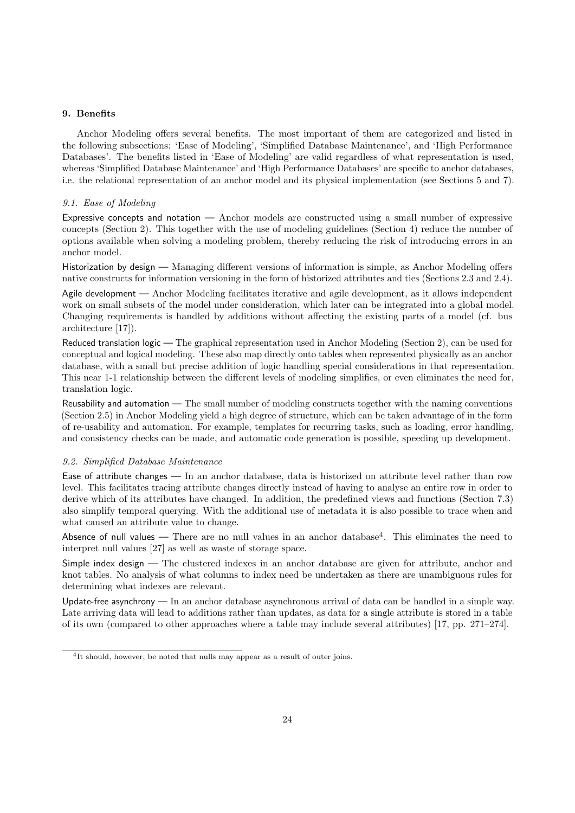# 9. Benefits

Anchor Modeling offers several benefits. The most important of them are categorized and listed in the following subsections: 'Ease of Modeling', 'Simplified Database Maintenance', and 'High Performance Databases'. The benefits listed in 'Ease of Modeling' are valid regardless of what representation is used, whereas 'Simplified Database Maintenance' and 'High Performance Databases' are specific to anchor databases, i.e. the relational representation of an anchor model and its physical implementation (see Sections 5 and 7).

# 9.1. Ease of Modeling

Expressive concepts and notation — Anchor models are constructed using a small number of expressive concepts (Section 2). This together with the use of modeling guidelines (Section 4) reduce the number of options available when solving a modeling problem, thereby reducing the risk of introducing errors in an anchor model.

Historization by design — Managing different versions of information is simple, as Anchor Modeling offers native constructs for information versioning in the form of historized attributes and ties (Sections 2.3 and 2.4).

Agile development — Anchor Modeling facilitates iterative and agile development, as it allows independent work on small subsets of the model under consideration, which later can be integrated into a global model. Changing requirements is handled by additions without affecting the existing parts of a model (cf. bus architecture [17]).

Reduced translation logic — The graphical representation used in Anchor Modeling (Section 2), can be used for conceptual and logical modeling. These also map directly onto tables when represented physically as an anchor database, with a small but precise addition of logic handling special considerations in that representation. This near 1-1 relationship between the different levels of modeling simplifies, or even eliminates the need for, translation logic.

Reusability and automation — The small number of modeling constructs together with the naming conventions (Section 2.5) in Anchor Modeling yield a high degree of structure, which can be taken advantage of in the form of re-usability and automation. For example, templates for recurring tasks, such as loading, error handling, and consistency checks can be made, and automatic code generation is possible, speeding up development.

# 9.2. Simplified Database Maintenance

Ease of attribute changes — In an anchor database, data is historized on attribute level rather than row level. This facilitates tracing attribute changes directly instead of having to analyse an entire row in order to derive which of its attributes have changed. In addition, the predefined views and functions (Section 7.3) also simplify temporal querying. With the additional use of metadata it is also possible to trace when and what caused an attribute value to change.

Absence of null values — There are no null values in an anchor database<sup>4</sup>. This eliminates the need to interpret null values [27] as well as waste of storage space.

Simple index design — The clustered indexes in an anchor database are given for attribute, anchor and knot tables. No analysis of what columns to index need be undertaken as there are unambiguous rules for determining what indexes are relevant.

Update-free asynchrony — In an anchor database asynchronous arrival of data can be handled in a simple way. Late arriving data will lead to additions rather than updates, as data for a single attribute is stored in a table of its own (compared to other approaches where a table may include several attributes) [17, pp. 271–274].

<sup>&</sup>lt;sup>4</sup>It should, however, be noted that nulls may appear as a result of outer joins.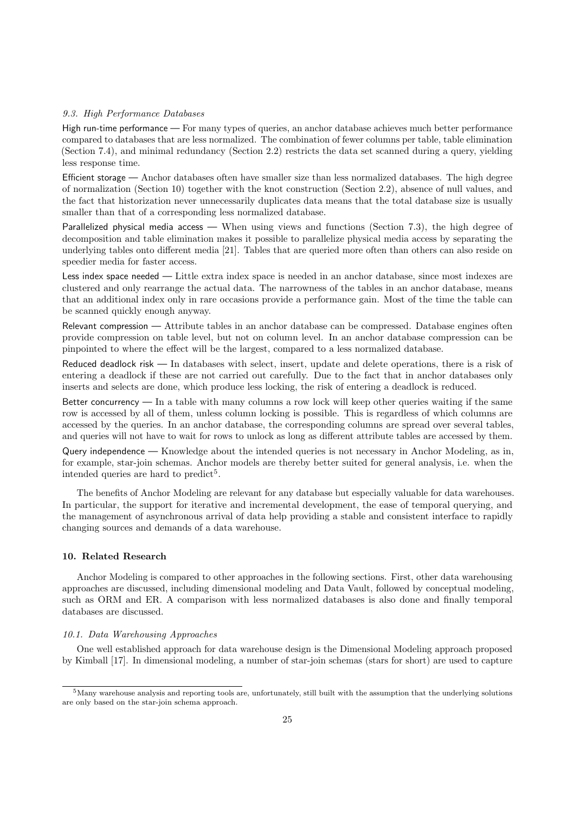# 9.3. High Performance Databases

High run-time performance — For many types of queries, an anchor database achieves much better performance compared to databases that are less normalized. The combination of fewer columns per table, table elimination (Section 7.4), and minimal redundancy (Section 2.2) restricts the data set scanned during a query, yielding less response time.

Efficient storage — Anchor databases often have smaller size than less normalized databases. The high degree of normalization (Section 10) together with the knot construction (Section 2.2), absence of null values, and the fact that historization never unnecessarily duplicates data means that the total database size is usually smaller than that of a corresponding less normalized database.

Parallelized physical media access — When using views and functions (Section 7.3), the high degree of decomposition and table elimination makes it possible to parallelize physical media access by separating the underlying tables onto different media [21]. Tables that are queried more often than others can also reside on speedier media for faster access.

Less index space needed — Little extra index space is needed in an anchor database, since most indexes are clustered and only rearrange the actual data. The narrowness of the tables in an anchor database, means that an additional index only in rare occasions provide a performance gain. Most of the time the table can be scanned quickly enough anyway.

Relevant compression — Attribute tables in an anchor database can be compressed. Database engines often provide compression on table level, but not on column level. In an anchor database compression can be pinpointed to where the effect will be the largest, compared to a less normalized database.

Reduced deadlock risk — In databases with select, insert, update and delete operations, there is a risk of entering a deadlock if these are not carried out carefully. Due to the fact that in anchor databases only inserts and selects are done, which produce less locking, the risk of entering a deadlock is reduced.

Better concurrency — In a table with many columns a row lock will keep other queries waiting if the same row is accessed by all of them, unless column locking is possible. This is regardless of which columns are accessed by the queries. In an anchor database, the corresponding columns are spread over several tables, and queries will not have to wait for rows to unlock as long as different attribute tables are accessed by them.

Query independence — Knowledge about the intended queries is not necessary in Anchor Modeling, as in, for example, star-join schemas. Anchor models are thereby better suited for general analysis, i.e. when the intended queries are hard to predict<sup>5</sup>.

The benefits of Anchor Modeling are relevant for any database but especially valuable for data warehouses. In particular, the support for iterative and incremental development, the ease of temporal querying, and the management of asynchronous arrival of data help providing a stable and consistent interface to rapidly changing sources and demands of a data warehouse.

# 10. Related Research

Anchor Modeling is compared to other approaches in the following sections. First, other data warehousing approaches are discussed, including dimensional modeling and Data Vault, followed by conceptual modeling, such as ORM and ER. A comparison with less normalized databases is also done and finally temporal databases are discussed.

# 10.1. Data Warehousing Approaches

One well established approach for data warehouse design is the Dimensional Modeling approach proposed by Kimball [17]. In dimensional modeling, a number of star-join schemas (stars for short) are used to capture

<sup>5</sup>Many warehouse analysis and reporting tools are, unfortunately, still built with the assumption that the underlying solutions are only based on the star-join schema approach.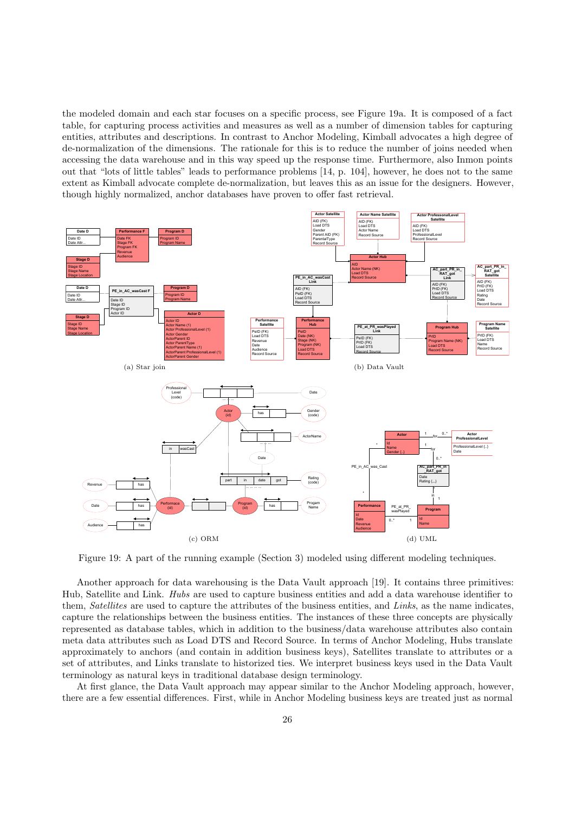the modeled domain and each star focuses on a specific process, see Figure 19a. It is composed of a fact table, for capturing process activities and measures as well as a number of dimension tables for capturing entities, attributes and descriptions. In contrast to Anchor Modeling, Kimball advocates a high degree of de-normalization of the dimensions. The rationale for this is to reduce the number of joins needed when accessing the data warehouse and in this way speed up the response time. Furthermore, also Inmon points out that "lots of little tables" leads to performance problems [14, p. 104], however, he does not to the same extent as Kimball advocate complete de-normalization, but leaves this as an issue for the designers. However, though highly normalized, anchor databases have proven to offer fast retrieval.



Figure 19: A part of the running example (Section 3) modeled using different modeling techniques.

Another approach for data warehousing is the Data Vault approach [19]. It contains three primitives: Hub, Satellite and Link. Hubs are used to capture business entities and add a data warehouse identifier to them, Satellites are used to capture the attributes of the business entities, and Links, as the name indicates, capture the relationships between the business entities. The instances of these three concepts are physically represented as database tables, which in addition to the business/data warehouse attributes also contain meta data attributes such as Load DTS and Record Source. In terms of Anchor Modeling, Hubs translate approximately to anchors (and contain in addition business keys), Satellites translate to attributes or a set of attributes, and Links translate to historized ties. We interpret business keys used in the Data Vault terminology as natural keys in traditional database design terminology.

At first glance, the Data Vault approach may appear similar to the Anchor Modeling approach, however, there are a few essential differences. First, while in Anchor Modeling business keys are treated just as normal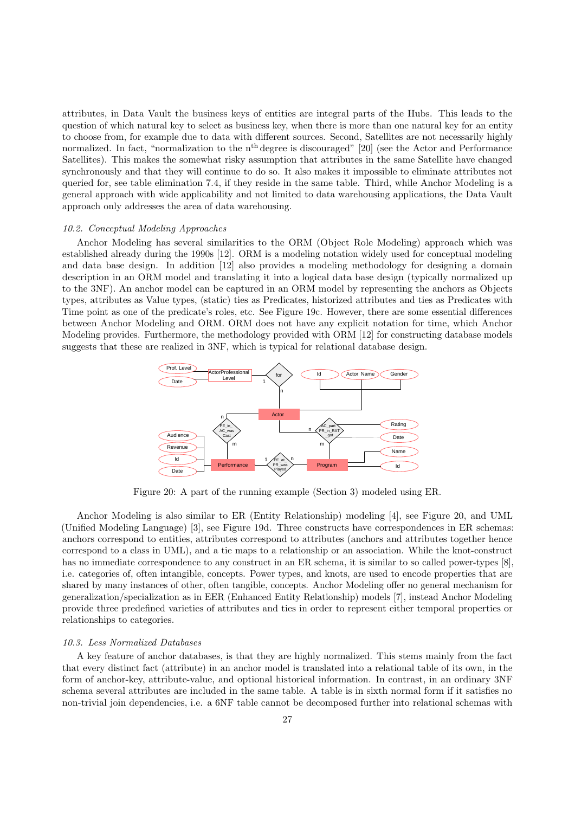attributes, in Data Vault the business keys of entities are integral parts of the Hubs. This leads to the question of which natural key to select as business key, when there is more than one natural key for an entity to choose from, for example due to data with different sources. Second, Satellites are not necessarily highly normalized. In fact, "normalization to the  $n<sup>th</sup>$  degree is discouraged" [20] (see the Actor and Performance Satellites). This makes the somewhat risky assumption that attributes in the same Satellite have changed synchronously and that they will continue to do so. It also makes it impossible to eliminate attributes not queried for, see table elimination 7.4, if they reside in the same table. Third, while Anchor Modeling is a general approach with wide applicability and not limited to data warehousing applications, the Data Vault approach only addresses the area of data warehousing.

#### 10.2. Conceptual Modeling Approaches

Anchor Modeling has several similarities to the ORM (Object Role Modeling) approach which was established already during the 1990s [12]. ORM is a modeling notation widely used for conceptual modeling and data base design. In addition [12] also provides a modeling methodology for designing a domain description in an ORM model and translating it into a logical data base design (typically normalized up to the 3NF). An anchor model can be captured in an ORM model by representing the anchors as Objects types, attributes as Value types, (static) ties as Predicates, historized attributes and ties as Predicates with Time point as one of the predicate's roles, etc. See Figure 19c. However, there are some essential differences between Anchor Modeling and ORM. ORM does not have any explicit notation for time, which Anchor Modeling provides. Furthermore, the methodology provided with ORM [12] for constructing database models suggests that these are realized in 3NF, which is typical for relational database design.



Figure 20: A part of the running example (Section 3) modeled using ER.

Anchor Modeling is also similar to ER (Entity Relationship) modeling [4], see Figure 20, and UML (Unified Modeling Language) [3], see Figure 19d. Three constructs have correspondences in ER schemas: anchors correspond to entities, attributes correspond to attributes (anchors and attributes together hence correspond to a class in UML), and a tie maps to a relationship or an association. While the knot-construct has no immediate correspondence to any construct in an ER schema, it is similar to so called power-types [8]. i.e. categories of, often intangible, concepts. Power types, and knots, are used to encode properties that are shared by many instances of other, often tangible, concepts. Anchor Modeling offer no general mechanism for generalization/specialization as in EER (Enhanced Entity Relationship) models [7], instead Anchor Modeling provide three predefined varieties of attributes and ties in order to represent either temporal properties or relationships to categories.

# 10.3. Less Normalized Databases

A key feature of anchor databases, is that they are highly normalized. This stems mainly from the fact that every distinct fact (attribute) in an anchor model is translated into a relational table of its own, in the form of anchor-key, attribute-value, and optional historical information. In contrast, in an ordinary 3NF schema several attributes are included in the same table. A table is in sixth normal form if it satisfies no non-trivial join dependencies, i.e. a 6NF table cannot be decomposed further into relational schemas with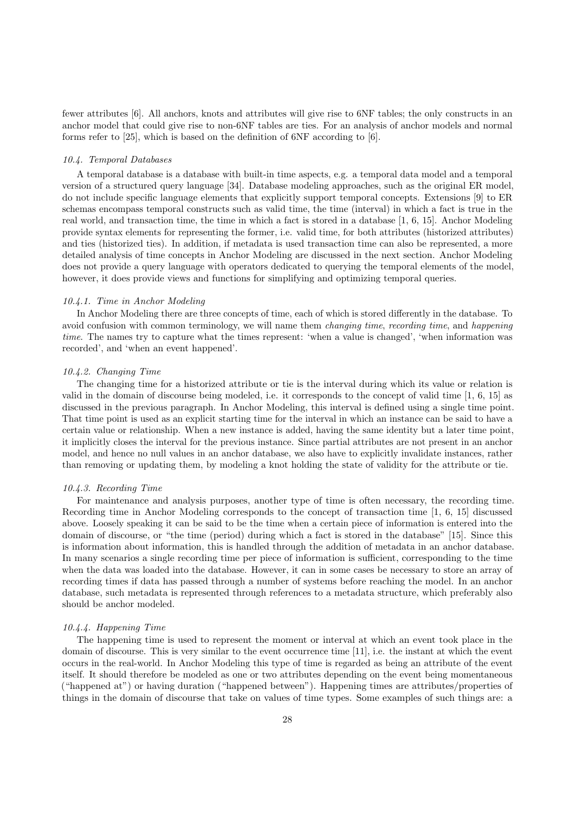fewer attributes [6]. All anchors, knots and attributes will give rise to 6NF tables; the only constructs in an anchor model that could give rise to non-6NF tables are ties. For an analysis of anchor models and normal forms refer to [25], which is based on the definition of 6NF according to [6].

# 10.4. Temporal Databases

A temporal database is a database with built-in time aspects, e.g. a temporal data model and a temporal version of a structured query language [34]. Database modeling approaches, such as the original ER model, do not include specific language elements that explicitly support temporal concepts. Extensions [9] to ER schemas encompass temporal constructs such as valid time, the time (interval) in which a fact is true in the real world, and transaction time, the time in which a fact is stored in a database [1, 6, 15]. Anchor Modeling provide syntax elements for representing the former, i.e. valid time, for both attributes (historized attributes) and ties (historized ties). In addition, if metadata is used transaction time can also be represented, a more detailed analysis of time concepts in Anchor Modeling are discussed in the next section. Anchor Modeling does not provide a query language with operators dedicated to querying the temporal elements of the model, however, it does provide views and functions for simplifying and optimizing temporal queries.

#### 10.4.1. Time in Anchor Modeling

In Anchor Modeling there are three concepts of time, each of which is stored differently in the database. To avoid confusion with common terminology, we will name them changing time, recording time, and happening time. The names try to capture what the times represent: 'when a value is changed', 'when information was recorded', and 'when an event happened'.

#### 10.4.2. Changing Time

The changing time for a historized attribute or tie is the interval during which its value or relation is valid in the domain of discourse being modeled, i.e. it corresponds to the concept of valid time [1, 6, 15] as discussed in the previous paragraph. In Anchor Modeling, this interval is defined using a single time point. That time point is used as an explicit starting time for the interval in which an instance can be said to have a certain value or relationship. When a new instance is added, having the same identity but a later time point, it implicitly closes the interval for the previous instance. Since partial attributes are not present in an anchor model, and hence no null values in an anchor database, we also have to explicitly invalidate instances, rather than removing or updating them, by modeling a knot holding the state of validity for the attribute or tie.

### 10.4.3. Recording Time

For maintenance and analysis purposes, another type of time is often necessary, the recording time. Recording time in Anchor Modeling corresponds to the concept of transaction time [1, 6, 15] discussed above. Loosely speaking it can be said to be the time when a certain piece of information is entered into the domain of discourse, or "the time (period) during which a fact is stored in the database" [15]. Since this is information about information, this is handled through the addition of metadata in an anchor database. In many scenarios a single recording time per piece of information is sufficient, corresponding to the time when the data was loaded into the database. However, it can in some cases be necessary to store an array of recording times if data has passed through a number of systems before reaching the model. In an anchor database, such metadata is represented through references to a metadata structure, which preferably also should be anchor modeled.

### 10.4.4. Happening Time

The happening time is used to represent the moment or interval at which an event took place in the domain of discourse. This is very similar to the event occurrence time [11], i.e. the instant at which the event occurs in the real-world. In Anchor Modeling this type of time is regarded as being an attribute of the event itself. It should therefore be modeled as one or two attributes depending on the event being momentaneous ("happened at") or having duration ("happened between"). Happening times are attributes/properties of things in the domain of discourse that take on values of time types. Some examples of such things are: a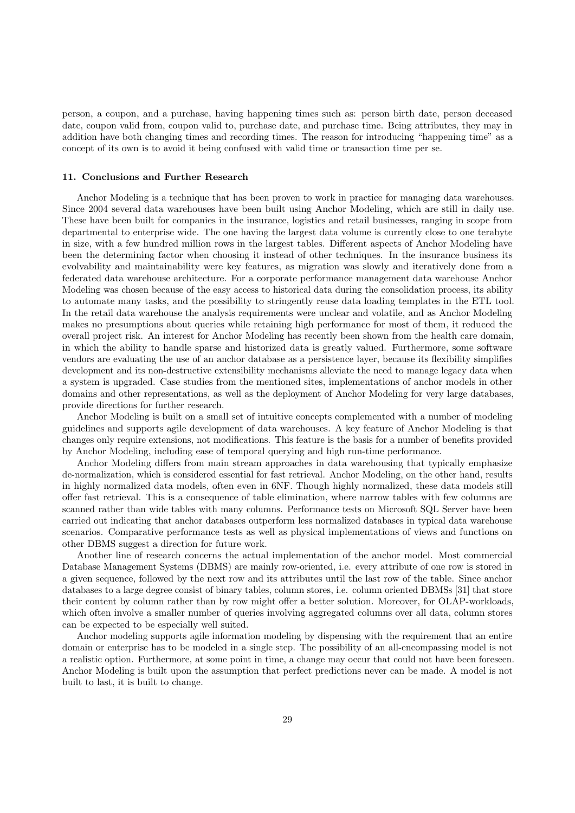person, a coupon, and a purchase, having happening times such as: person birth date, person deceased date, coupon valid from, coupon valid to, purchase date, and purchase time. Being attributes, they may in addition have both changing times and recording times. The reason for introducing "happening time" as a concept of its own is to avoid it being confused with valid time or transaction time per se.

# 11. Conclusions and Further Research

Anchor Modeling is a technique that has been proven to work in practice for managing data warehouses. Since 2004 several data warehouses have been built using Anchor Modeling, which are still in daily use. These have been built for companies in the insurance, logistics and retail businesses, ranging in scope from departmental to enterprise wide. The one having the largest data volume is currently close to one terabyte in size, with a few hundred million rows in the largest tables. Different aspects of Anchor Modeling have been the determining factor when choosing it instead of other techniques. In the insurance business its evolvability and maintainability were key features, as migration was slowly and iteratively done from a federated data warehouse architecture. For a corporate performance management data warehouse Anchor Modeling was chosen because of the easy access to historical data during the consolidation process, its ability to automate many tasks, and the possibility to stringently reuse data loading templates in the ETL tool. In the retail data warehouse the analysis requirements were unclear and volatile, and as Anchor Modeling makes no presumptions about queries while retaining high performance for most of them, it reduced the overall project risk. An interest for Anchor Modeling has recently been shown from the health care domain, in which the ability to handle sparse and historized data is greatly valued. Furthermore, some software vendors are evaluating the use of an anchor database as a persistence layer, because its flexibility simplifies development and its non-destructive extensibility mechanisms alleviate the need to manage legacy data when a system is upgraded. Case studies from the mentioned sites, implementations of anchor models in other domains and other representations, as well as the deployment of Anchor Modeling for very large databases, provide directions for further research.

Anchor Modeling is built on a small set of intuitive concepts complemented with a number of modeling guidelines and supports agile development of data warehouses. A key feature of Anchor Modeling is that changes only require extensions, not modifications. This feature is the basis for a number of benefits provided by Anchor Modeling, including ease of temporal querying and high run-time performance.

Anchor Modeling differs from main stream approaches in data warehousing that typically emphasize de-normalization, which is considered essential for fast retrieval. Anchor Modeling, on the other hand, results in highly normalized data models, often even in 6NF. Though highly normalized, these data models still offer fast retrieval. This is a consequence of table elimination, where narrow tables with few columns are scanned rather than wide tables with many columns. Performance tests on Microsoft SQL Server have been carried out indicating that anchor databases outperform less normalized databases in typical data warehouse scenarios. Comparative performance tests as well as physical implementations of views and functions on other DBMS suggest a direction for future work.

Another line of research concerns the actual implementation of the anchor model. Most commercial Database Management Systems (DBMS) are mainly row-oriented, i.e. every attribute of one row is stored in a given sequence, followed by the next row and its attributes until the last row of the table. Since anchor databases to a large degree consist of binary tables, column stores, i.e. column oriented DBMSs [31] that store their content by column rather than by row might offer a better solution. Moreover, for OLAP-workloads, which often involve a smaller number of queries involving aggregated columns over all data, column stores can be expected to be especially well suited.

Anchor modeling supports agile information modeling by dispensing with the requirement that an entire domain or enterprise has to be modeled in a single step. The possibility of an all-encompassing model is not a realistic option. Furthermore, at some point in time, a change may occur that could not have been foreseen. Anchor Modeling is built upon the assumption that perfect predictions never can be made. A model is not built to last, it is built to change.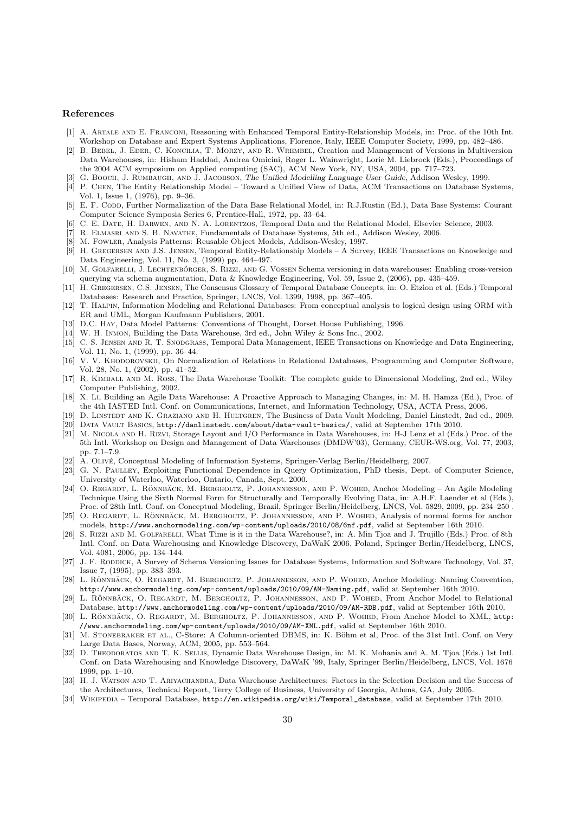#### References

- [1] A. Artale and E. Franconi, Reasoning with Enhanced Temporal Entity-Relationship Models, in: Proc. of the 10th Int. Workshop on Database and Expert Systems Applications, Florence, Italy, IEEE Computer Society, 1999, pp. 482–486.
- [2] B. BEBEL, J. EDER, C. KONCILIA, T. MORZY, AND R. WREMBEL, Creation and Management of Versions in Multiversion Data Warehouses, in: Hisham Haddad, Andrea Omicini, Roger L. Wainwright, Lorie M. Liebrock (Eds.), Proceedings of the 2004 ACM symposium on Applied computing (SAC), ACM New York, NY, USA, 2004, pp. 717–723.
- [3] G. Booch, J. RUMBAUGH, AND J. JACOBSON, The Unified Modelling Language User Guide, Addison Wesley, 1999.
- [4] P. Chen, The Entity Relationship Model Toward a Unified View of Data, ACM Transactions on Database Systems, Vol. 1, Issue 1, (1976), pp. 9–36.
- [5] E. F. CODD, Further Normalization of the Data Base Relational Model, in: R.J.Rustin (Ed.), Data Base Systems: Courant Computer Science Symposia Series 6, Prentice-Hall, 1972, pp. 33–64.
- [6] C. E. Date, H. Darwen, and N. A. Lorentzos, Temporal Data and the Relational Model, Elsevier Science, 2003.
- [7] R. Elmasri and S. B. Navathe, Fundamentals of Database Systems, 5th ed., Addison Wesley, 2006.
- [8] M. Fowler, Analysis Patterns: Reusable Object Models, Addison-Wesley, 1997.
- [9] H. Gregersen and J.S. Jensen, Temporal Entity-Relationship Models A Survey, IEEE Transactions on Knowledge and Data Engineering, Vol. 11, No. 3, (1999) pp. 464–497.
- [10] M. GOLFARELLI, J. LECHTENBÖRGER, S. RIZZI, AND G. VOSSEN Schema versioning in data warehouses: Enabling cross-version querying via schema augmentation, Data & Knowledge Engineering, Vol. 59, Issue 2, (2006), pp. 435–459.
- [11] H. Gregersen, C.S. Jensen, The Consensus Glossary of Temporal Database Concepts, in: O. Etzion et al. (Eds.) Temporal Databases: Research and Practice, Springer, LNCS, Vol. 1399, 1998, pp. 367–405.
- [12] T. Halpin, Information Modeling and Relational Databases: From conceptual analysis to logical design using ORM with ER and UML, Morgan Kaufmann Publishers, 2001.
- [13] D.C. Hay, Data Model Patterns: Conventions of Thought, Dorset House Publishing, 1996.
- [14] W. H. Inmon, Building the Data Warehouse, 3rd ed., John Wiley & Sons Inc., 2002.
- [15] C. S. Jensen and R. T. Snodgrass, Temporal Data Management, IEEE Transactions on Knowledge and Data Engineering, Vol. 11, No. 1, (1999), pp. 36–44.
- [16] V. V. KHODOROVSKII, On Normalization of Relations in Relational Databases, Programming and Computer Software, Vol. 28, No. 1, (2002), pp. 41–52.
- [17] R. KIMBALL AND M. ROSS, The Data Warehouse Toolkit: The complete guide to Dimensional Modeling, 2nd ed., Wiley Computer Publishing, 2002.
- [18] X. Li, Building an Agile Data Warehouse: A Proactive Approach to Managing Changes, in: M. H. Hamza (Ed.), Proc. of the 4th IASTED Intl. Conf. on Communications, Internet, and Information Technology, USA, ACTA Press, 2006.
- [19] D. LINSTEDT AND K. GRAZIANO AND H. HULTGREN, The Business of Data Vault Modeling, Daniel Linstedt, 2nd ed., 2009. [20] Data Vault Basics, http://danlinstedt.com/about/data-vault-basics/, valid at September 17th 2010.
- [21] M. Nicola and H. Rizvi, Storage Layout and I/O Performance in Data Warehouses, in: H-J Lenz et al (Eds.) Proc. of the 5th Intl. Workshop on Design and Management of Data Warehouses (DMDW'03), Germany, CEUR-WS.org, Vol. 77, 2003, pp. 7.1–7.9.
- [22] A. OLIVÉ, Conceptual Modeling of Information Systems, Springer-Verlag Berlin/Heidelberg, 2007.
- [23] G. N. PAULLEY, Exploiting Functional Dependence in Query Optimization, PhD thesis, Dept. of Computer Science, University of Waterloo, Waterloo, Ontario, Canada, Sept. 2000.
- [24] O. REGARDT, L. RÖNNBÄCK, M. BERGHOLTZ, P. JOHANNESSON, AND P. WOHED, Anchor Modeling An Agile Modeling Technique Using the Sixth Normal Form for Structurally and Temporally Evolving Data, in: A.H.F. Laender et al (Eds.), Proc. of 28th Intl. Conf. on Conceptual Modeling, Brazil, Springer Berlin/Heidelberg, LNCS, Vol. 5829, 2009, pp. 234–250 .
- [25] O. REGARDT, L. RÖNNBÄCK, M. BERGHOLTZ, P. JOHANNESSON, AND P. WOHED, Analysis of normal forms for anchor models, http://www.anchormodeling.com/wp-content/uploads/2010/08/6nf.pdf, valid at September 16th 2010.
- [26] S. RIZZI AND M. GOLFARELLI, What Time is it in the Data Warehouse?, in: A. Min Tjoa and J. Trujillo (Eds.) Proc. of 8th Intl. Conf. on Data Warehousing and Knowledge Discovery, DaWaK 2006, Poland, Springer Berlin/Heidelberg, LNCS, Vol. 4081, 2006, pp. 134–144.
- [27] J. F. RODDICK, A Survey of Schema Versioning Issues for Database Systems, Information and Software Technology, Vol. 37, Issue 7, (1995), pp. 383–393.
- [28] L. RÖNNBÄCK, O. REGARDT, M. BERGHOLTZ, P. JOHANNESSON, AND P. WOHED, Anchor Modeling: Naming Convention, http://www.anchormodeling.com/wp-content/uploads/2010/09/AM-Naming.pdf, valid at September 16th 2010.
- [29] L. RÖNNBÄCK, O. REGARDT, M. BERGHOLTZ, P. JOHANNESSON, AND P. WOHED, From Anchor Model to Relational Database, http://www.anchormodeling.com/wp-content/uploads/2010/09/AM-RDB.pdf, valid at September 16th 2010.
- [30] L. RÖNNBÄCK, O. REGARDT, M. BERGHOLTZ, P. JOHANNESSON, AND P. WOHED, From Anchor Model to XML, http: //www.anchormodeling.com/wp-content/uploads/2010/09/AM-XML.pdf, valid at September 16th 2010.
- [31] M. STONEBRAKER ET AL., C-Store: A Column-oriented DBMS, in: K. Böhm et al, Proc. of the 31st Intl. Conf. on Very Large Data Bases, Norway, ACM, 2005, pp. 553–564.
- [32] D. Theodoratos and T. K. Sellis, Dynamic Data Warehouse Design, in: M. K. Mohania and A. M. Tjoa (Eds.) 1st Intl. Conf. on Data Warehousing and Knowledge Discovery, DaWaK '99, Italy, Springer Berlin/Heidelberg, LNCS, Vol. 1676 1999, pp. 1–10.
- [33] H. J. WATSON AND T. ARIYACHANDRA, Data Warehouse Architectures: Factors in the Selection Decision and the Success of the Architectures, Technical Report, Terry College of Business, University of Georgia, Athens, GA, July 2005.
- [34] Wikipedia Temporal Database, http://en.wikipedia.org/wiki/Temporal\_database, valid at September 17th 2010.